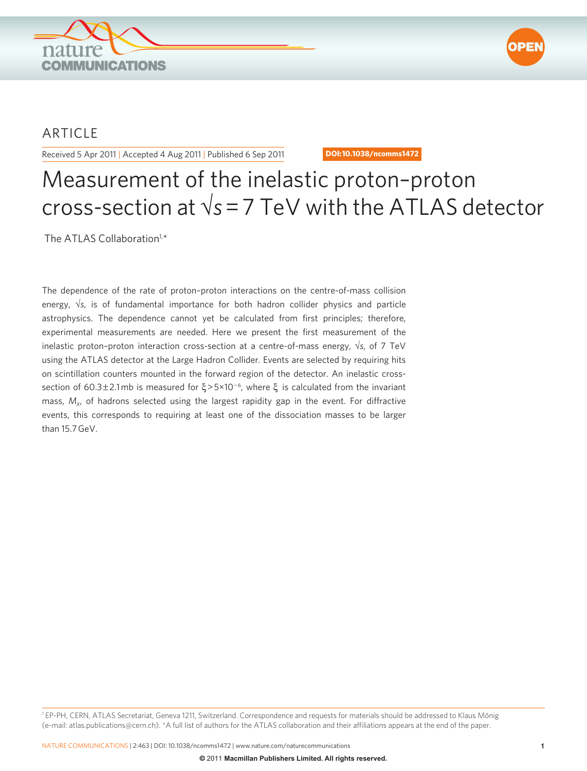



Received 5 Apr 2011 | Accepted 4 Aug 2011 | Published 6 Sep 2011 **DOI: 10.1038/ncomms1472**

# Measurement of the inelastic proton–proton cross-section at √*s*=7 TeV with the ATLAS detector

The ATLAS Collaboration $1, *$ 

The dependence of the rate of proton–proton interactions on the centre-of-mass collision energy, √*s*, is of fundamental importance for both hadron collider physics and particle astrophysics. The dependence cannot yet be calculated from first principles; therefore, experimental measurements are needed. Here we present the first measurement of the inelastic proton–proton interaction cross-section at a centre-of-mass energy, √*s*, of 7 TeV using the ATLAS detector at the Large Hadron Collider. Events are selected by requiring hits on scintillation counters mounted in the forward region of the detector. An inelastic crosssection of 60.3±2.1mb is measured for ξ>5×10−6 , where ξ is calculated from the invariant mass,  $M_{x}$ , of hadrons selected using the largest rapidity gap in the event. For diffractive events, this corresponds to requiring at least one of the dissociation masses to be larger than 15.7GeV.

<sup>1</sup> EP-PH, CERN, ATLAS Secretariat, Geneva 1211, Switzerland. Correspondence and requests for materials should be addressed to Klaus Mönig (e-mail: atlas.publications@cern.ch). \*A full list of authors for the ATLAS collaboration and their affiliations appears at the end of the paper.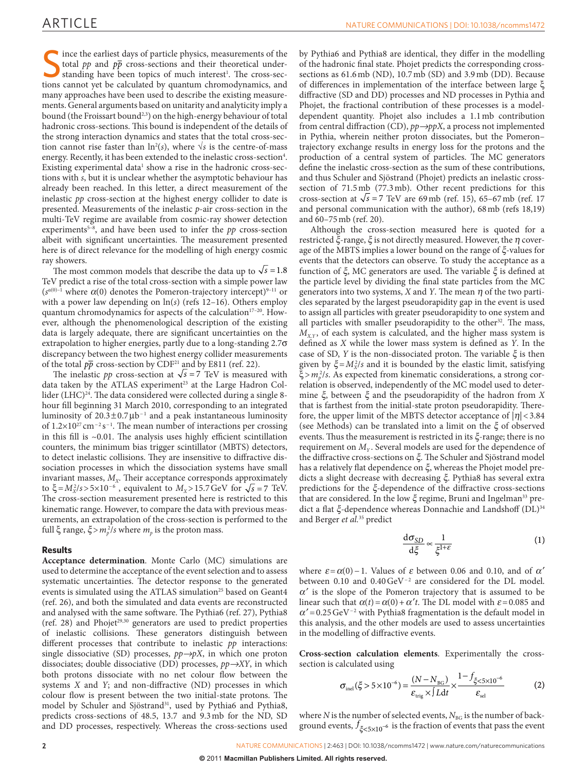S ince the earliest days of particle physics, measurements of the total *pp* and  $p\bar{p}$  cross-sections and their theoretical understanding have been topics of much interest<sup>1</sup>. The cross-sections cannot yet be calculate ince the earliest days of particle physics, measurements of the total  $pp$  and  $p\bar{p}$  cross-sections and their theoretical understanding have been topics of much interest<sup>1</sup>. The cross-secmany approaches have been used to describe the existing measurements. General arguments based on unitarity and analyticity imply a bound (the Froissart bound<sup>[2,3](#page-4-1)</sup>) on the high-energy behaviour of total hadronic cross-sections. This bound is independent of the details of the strong interaction dynamics and states that the total cross-section cannot rise faster than  $\ln^2(s)$ , where  $\sqrt{s}$  is the centre-of-mass energy. Recently, it has been extended to the inelastic cross-section<sup>[4](#page-4-2)</sup>. Existing experimental data<sup>1</sup> show a rise in the hadronic cross-sections with *s*, but it is unclear whether the asymptotic behaviour has already been reached. In this letter, a direct measurement of the inelastic *pp* cross-section at the highest energy collider to date is presented. Measurements of the inelastic *p*-air cross-section in the multi-TeV regime are available from cosmic-ray shower detection experiments<sup>5-8</sup>, and have been used to infer the *pp* cross-section albeit with significant uncertainties. The measurement presented here is of direct relevance for the modelling of high energy cosmic ray showers.

The most common models that describe the data up to  $\sqrt{s} = 1.8$ TeV predict a rise of the total cross-section with a simple power law  $(s^{\alpha(0)-1}$  where  $\alpha(0)$  denotes the Pomeron-trajectory intercept)<sup>9-11</sup> or with a power law depending on ln(*s*) (refs [12–16\)](#page-4-5). Others employ quantum chromodynamics for aspects of the calculation<sup>17-20</sup>. However, although the phenomenological description of the existing data is largely adequate, there are significant uncertainties on the extrapolation to higher energies, partly due to a long-standing 2.7σ discrepancy between the two highest energy collider measurements of the total  $p\bar{p}$  cross-section by  $CDF^{21}$  and by E811 (ref. 22).

The inelastic *pp* cross-section at  $\sqrt{s} = 7$  TeV is measured with data taken by the ATLAS experiment<sup>[23](#page-5-1)</sup> at the Large Hadron Collider (LHC)<sup>24</sup>. The data considered were collected during a single 8hour fill beginning 31 March 2010, corresponding to an integrated luminosity of 20.3±0.7µb−1 and a peak instantaneous luminosity of  $1.2 \times 10^{27}$  cm<sup>-2</sup> s<sup>-1</sup>. The mean number of interactions per crossing in this fill is  $~0.01$ . The analysis uses highly efficient scintillation counters, the minimum bias trigger scintillator (MBTS) detectors, to detect inelastic collisions. They are insensitive to diffractive dissociation processes in which the dissociation systems have small invariant masses,  $M_X$ . Their acceptance corresponds approximately to  $\xi = M_X^2/s > 5 \times 10^{-6}$ , equivalent to  $M_X > 15.7$  GeV for  $\sqrt{s} = 7$  TeV. The cross-section measurement presented here is restricted to this kinematic range. However, to compare the data with previous measurements, an extrapolation of the cross-section is performed to the full  $\xi$  range,  $\xi > m_p^2/s$  where  $m_p$  is the proton mass.

### **Results**

**Acceptance determination**. Monte Carlo (MC) simulations are used to determine the acceptance of the event selection and to assess systematic uncertainties. The detector response to the generated events is simulated using the ATLAS simulation<sup>25</sup> based on Geant4 (ref. 26), and both the simulated and data events are reconstructed and analysed with the same software. The Pythia6 (ref. 27), Pythia8 (ref. [28](#page-5-4)) and Phojet<sup>[29,30](#page-5-5)</sup> generators are used to predict properties of inelastic collisions. These generators distinguish between different processes that contribute to inelastic *pp* interactions: single dissociative (SD) processes,  $pp \rightarrow pX$ , in which one proton dissociates; double dissociative (DD) processes, *pp*→*XY*, in which both protons dissociate with no net colour flow between the systems *X* and *Y*; and non-diffractive (ND) processes in which colour flow is present between the two initial-state protons. The model by Schuler and Sjöstrand<sup>[31](#page-5-6)</sup>, used by Pythia6 and Pythia8, predicts cross-sections of 48.5, 13.7 and 9.3mb for the ND, SD and DD processes, respectively. Whereas the cross-sections used

by Pythia6 and Pythia8 are identical, they differ in the modelling of the hadronic final state. Phojet predicts the corresponding crosssections as 61.6mb (ND), 10.7mb (SD) and 3.9mb (DD). Because of differences in implementation of the interface between large ξ diffractive (SD and DD) processes and ND processes in Pythia and Phojet, the fractional contribution of these processes is a modeldependent quantity. Phojet also includes a 1.1mb contribution from central diffraction (CD),  $pp \rightarrow ppX$ , a process not implemented in Pythia, wherein neither proton dissociates, but the Pomeron– trajectory exchange results in energy loss for the protons and the production of a central system of particles. The MC generators define the inelastic cross-section as the sum of these contributions, and thus Schuler and Sjöstrand (Phojet) predicts an inelastic crosssection of 71.5mb (77.3mb). Other recent predictions for this cross-section at  $\sqrt{s}$  = 7 TeV are 69 mb (ref. 15), 65–67 mb (ref. 17 and personal communication with the author), 68mb (refs 18,19) and 60–75mb (ref. 20).

Although the cross-section measured here is quoted for a restricted ξ-range,  $ξ$  is not directly measured. However, the η coverage of the MBTS implies a lower bound on the range of ξ-values for events that the detectors can observe. To study the acceptance as a function of ξ, MC generators are used. The variable ξ is defined at the particle level by dividing the final state particles from the MC generators into two systems, *X* and *Y*. The mean  $\eta$  of the two particles separated by the largest pseudorapidity gap in the event is used to assign all particles with greater pseudorapidity to one system and all particles with smaller pseudorapidity to the other<sup>[32](#page-5-7)</sup>. The mass,  $M_{XY}$ , of each system is calculated, and the higher mass system is defined as *X* while the lower mass system is defined as *Y*. In the case of SD, *Y* is the non-dissociated proton. The variable ξ is then given by  $\xi = M_x^2/s$  and it is bounded by the elastic limit, satisfying ξ >  $m_p^2$ /s. As expected from kinematic considerations, a strong correlation is observed, independently of the MC model used to determine ξ, between ξ and the pseudorapidity of the hadron from *X* that is farthest from the initial-state proton pseudorapidity. Therefore, the upper limit of the MBTS detector acceptance of  $|\eta|$  < 3.84 (see Methods) can be translated into a limit on the ξ of observed events. Thus the measurement is restricted in its ξ-range; there is no requirement on  $M_Y$ . Several models are used for the dependence of the diffractive cross-sections on ξ. The Schuler and Sjöstrand model has a relatively flat dependence on ξ, whereas the Phojet model predicts a slight decrease with decreasing ξ. Pythia8 has several extra predictions for the ξ-dependence of the diffractive cross-sections that are considered. In the low  $\xi$  regime, Bruni and Ingelman<sup>33</sup> predict a flat ξ-dependence whereas Donnachie and Landshoff (DL)[34](#page-5-9) and Berger *et al.*[35](#page-5-10) predict

$$
\frac{\mathrm{d}\sigma_{SD}}{\mathrm{d}\xi} \propto \frac{1}{\xi^{1+\varepsilon}}\tag{1}
$$

where  $\epsilon = \alpha(0) - 1$ . Values of  $\epsilon$  between 0.06 and 0.10, and of  $\alpha'$ between 0.10 and 0.40GeV−2 are considered for the DL model.  $\alpha'$  is the slope of the Pomeron trajectory that is assumed to be linear such that  $\alpha(t) = \alpha(0) + \alpha' t$ . The DL model with  $\varepsilon = 0.085$  and  $\alpha'$  = 0.25 GeV<sup>-2</sup> with Pythia8 fragmentation is the default model in this analysis, and the other models are used to assess uncertainties in the modelling of diffractive events.

**Cross-section calculation elements**. Experimentally the crosssection is calculated using

$$
\sigma_{\rm inel}(\xi > 5 \times 10^{-6}) = \frac{(N - N_{\rm BG})}{\varepsilon_{\rm trig} \times 1 \, \text{Ldt}} \times \frac{1 - f_{\xi < 5 \times 10^{-6}}}{\varepsilon_{\rm sel}} \tag{2}
$$

where  $N$  is the number of selected events,  $N_{BG}$  is the number of background events,  $f_{\zeta \leq 5 \times 10^{-6}}$  is the fraction of events that pass the event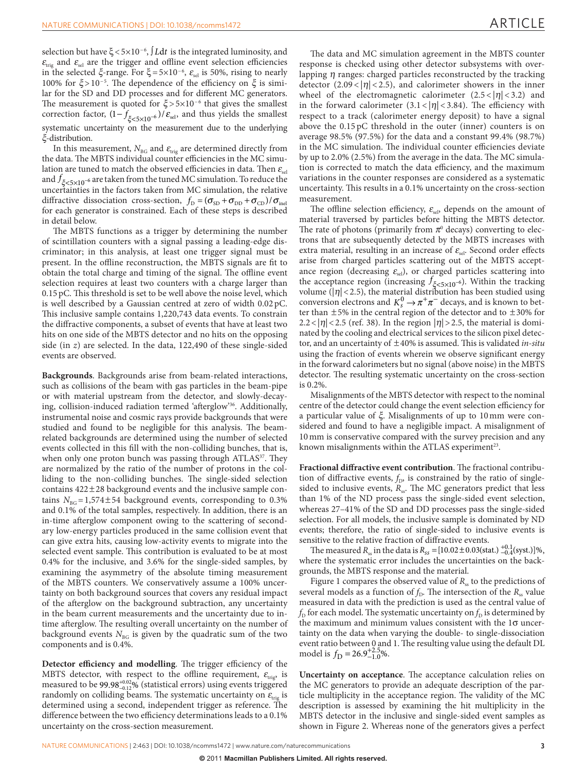selection but have ξ<5×10<sup>-6</sup>, ∫*Ldt* is the integrated luminosity, and  $\varepsilon_{\text{trig}}$  and  $\varepsilon_{\text{sel}}$  are the trigger and offline event selection efficiencies in the selected  $\xi$ -range. For  $\xi$ =5×10<sup>-6</sup>,  $\varepsilon_{\text{sel}}$  is 50%, rising to nearly 100% for  $ξ > 10^{-5}$ . The dependence of the efficiency on  $ξ$  is similar for the SD and DD processes and for different MC generators. The measurement is quoted for ξ*>*5×10−6 that gives the smallest correction factor,  $(1 - f_{\xi < 5 \times 10^{-6}})/\varepsilon_{\text{sel}}$ , and thus yields the smallest systematic uncertainty on the measurement due to the underlying ξ-distribution.

In this measurement,  $N_{BG}$  and  $\varepsilon_{trig}$  are determined directly from the data. The MBTS individual counter efficiencies in the MC simulation are tuned to match the observed efficiencies in data. Then  $\varepsilon_{\text{est}}$ and  $f_{\zeta < 5 \times 10^{-6}}$  are taken from the tuned MC simulation. To reduce the uncertainties in the factors taken from MC simulation, the relative diffractive dissociation cross-section,  $f_D = (\sigma_{SD} + \sigma_{DD} + \sigma_{CD})/\sigma_{inel}$ for each generator is constrained. Each of these steps is described in detail below.

The MBTS functions as a trigger by determining the number of scintillation counters with a signal passing a leading-edge discriminator; in this analysis, at least one trigger signal must be present. In the offline reconstruction, the MBTS signals are fit to obtain the total charge and timing of the signal. The offline event selection requires at least two counters with a charge larger than 0.15 pC. This threshold is set to be well above the noise level, which is well described by a Gaussian centred at zero of width 0.02 pC. This inclusive sample contains 1,220,743 data events. To constrain the diffractive components, a subset of events that have at least two hits on one side of the MBTS detector and no hits on the opposing side (in *z*) are selected. In the data, 122,490 of these single-sided events are observed.

**Backgrounds**. Backgrounds arise from beam-related interactions, such as collisions of the beam with gas particles in the beam-pipe or with material upstream from the detector, and slowly-decaying, collision-induced radiation termed 'afterglow['36](#page-5-11) . Additionally, instrumental noise and cosmic rays provide backgrounds that were studied and found to be negligible for this analysis. The beamrelated backgrounds are determined using the number of selected events collected in this fill with the non-colliding bunches, that is, when only one proton bunch was passing through ATLAS<sup>37</sup>. They are normalized by the ratio of the number of protons in the colliding to the non-colliding bunches. The single-sided selection contains 422±28 background events and the inclusive sample contains  $N_{BG} = 1,574 \pm 54$  background events, corresponding to 0.3% and 0.1% of the total samples, respectively. In addition, there is an in-time afterglow component owing to the scattering of secondary low-energy particles produced in the same collision event that can give extra hits, causing low-activity events to migrate into the selected event sample. This contribution is evaluated to be at most 0.4% for the inclusive, and 3.6% for the single-sided samples, by examining the asymmetry of the absolute timing measurement of the MBTS counters. We conservatively assume a 100% uncertainty on both background sources that covers any residual impact of the afterglow on the background subtraction, any uncertainty in the beam current measurements and the uncertainty due to intime afterglow. The resulting overall uncertainty on the number of background events  $N_{BG}$  is given by the quadratic sum of the two components and is 0.4%.

**Detector efficiency and modelling**. The trigger efficiency of the MBTS detector, with respect to the offline requirement,  $\varepsilon_{\text{trig}}$ , is measured to be  $99.98_{-0.12}^{+0.02}$ % (statistical errors) using events triggered randomly on colliding beams. The systematic uncertainty on  $\varepsilon_{\text{trig}}$  is determined using a second, independent trigger as reference. The difference between the two efficiency determinations leads to a 0.1% uncertainty on the cross-section measurement.

The data and MC simulation agreement in the MBTS counter response is checked using other detector subsystems with overlapping  $\eta$  ranges: charged particles reconstructed by the tracking detector  $(2.09 < |\eta| < 2.5)$ , and calorimeter showers in the inner wheel of the electromagnetic calorimeter  $(2.5 < |\eta| < 3.2)$  and in the forward calorimeter (3.1 <  $|\eta|$  < 3.84). The efficiency with respect to a track (calorimeter energy deposit) to have a signal above the 0.15 pC threshold in the outer (inner) counters is on average 98.5% (97.5%) for the data and a constant 99.4% (98.7%) in the MC simulation. The individual counter efficiencies deviate by up to 2.0% (2.5%) from the average in the data. The MC simulation is corrected to match the data efficiency, and the maximum variations in the counter responses are considered as a systematic uncertainty. This results in a 0.1% uncertainty on the cross-section measurement.

The offline selection efficiency,  $\varepsilon_{\text{sel}}$ , depends on the amount of material traversed by particles before hitting the MBTS detector. The rate of photons (primarily from  $\pi^0$  decays) converting to electrons that are subsequently detected by the MBTS increases with extra material, resulting in an increase of  $\varepsilon_{\text{sel}}$ . Second order effects arise from charged particles scattering out of the MBTS acceptance region (decreasing  $\varepsilon_{\text{sel}}$ ), or charged particles scattering into the acceptance region (increasing  $f_{\zeta < 5 \times 10^{-6}}$ ). Within the tracking volume ( $|\eta|$  < 2.5), the material distribution has been studied using conversion electrons and  $K_s^0 \to \pi^+\pi^-$  decays, and is known to better than  $\pm$  5% in the central region of the detector and to  $\pm$  30% for  $2.2 < |\eta| < 2.5$  (ref. 38). In the region  $|\eta| > 2.5$ , the material is dominated by the cooling and electrical services to the silicon pixel detector, and an uncertainty of ±40% is assumed. This is validated *in-situ* using the fraction of events wherein we observe significant energy in the forward calorimeters but no signal (above noise) in the MBTS detector. The resulting systematic uncertainty on the cross-section is 0.2%.

Misalignments of the MBTS detector with respect to the nominal centre of the detector could change the event selection efficiency for a particular value of ξ. Misalignments of up to 10mm were considered and found to have a negligible impact. A misalignment of 10mm is conservative compared with the survey precision and any known misalignments within the ATLAS experiment $^{23}$  $^{23}$  $^{23}$ .

**Fractional diffractive event contribution**. The fractional contribution of diffractive events,  $f<sub>D</sub>$ , is constrained by the ratio of singlesided to inclusive events,  $R_{ss}$ . The MC generators predict that less than 1% of the ND process pass the single-sided event selection, whereas 27–41% of the SD and DD processes pass the single-sided selection. For all models, the inclusive sample is dominated by ND events; therefore, the ratio of single-sided to inclusive events is sensitive to the relative fraction of diffractive events.

The measured  $R_{ss}$  in the data is  $R_{ss} = [10.02 \pm 0.03 \text{(stat.)} \, \frac{+0.1}{-0.4} \text{(syst.)}]\%$ , where the systematic error includes the uncertainties on the backgrounds, the MBTS response and the material.

[Figure 1](#page-3-0) compares the observed value of  $R_{\rm ss}$  to the predictions of several models as a function of  $f_D$ . The intersection of the  $R_{ss}$  value measured in data with the prediction is used as the central value of  $f<sub>D</sub>$  for each model. The systematic uncertainty on  $f<sub>D</sub>$  is determined by the maximum and minimum values consistent with the 1σ uncertainty on the data when varying the double- to single-dissociation event ratio between 0 and 1. The resulting value using the default DL model is  $f_D = 26.9^{+2.5}_{-1.0}\%$ .

**Uncertainty on acceptance**. The acceptance calculation relies on the MC generators to provide an adequate description of the particle multiplicity in the acceptance region. The validity of the MC description is assessed by examining the hit multiplicity in the MBTS detector in the inclusive and single-sided event samples as shown in [Figure 2.](#page-3-1) Whereas none of the generators gives a perfect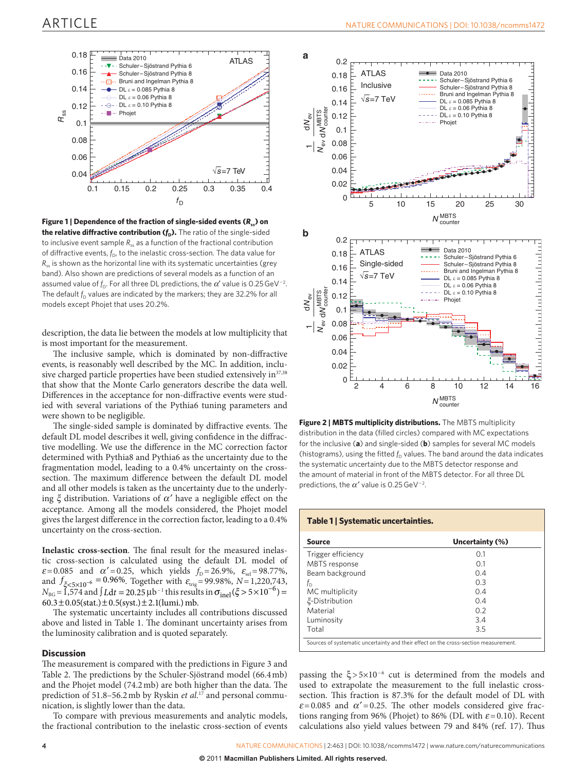

<span id="page-3-0"></span>**Figure 1 | Dependence of the fraction of single-sided events (** $R_s$ **) on the relative diffractive contribution (f<sub>D</sub>).** The ratio of the single-sided to inclusive event sample  $R_{ss}$  as a function of the fractional contribution of diffractive events,  $f_{\text{D}}$ , to the inelastic cross-section. The data value for  $R_{\rm ss}$  is shown as the horizontal line with its systematic uncertainties (grey band). Also shown are predictions of several models as a function of an assumed value of  $f_{\text{D}}$ . For all three DL predictions, the  $\alpha'$  value is 0.25 GeV<sup>-2</sup>. The default  $f<sub>D</sub>$  values are indicated by the markers; they are 32.2% for all models except Phojet that uses 20.2%.

description, the data lie between the models at low multiplicity that is most important for the measurement.

The inclusive sample, which is dominated by non-diffractive events, is reasonably well described by the MC. In addition, inclu-sive charged particle properties have been studied extensively in<sup>[37,38](#page-5-12)</sup> that show that the Monte Carlo generators describe the data well. Differences in the acceptance for non-diffractive events were studied with several variations of the Pythia6 tuning parameters and were shown to be negligible.

The single-sided sample is dominated by diffractive events. The default DL model describes it well, giving confidence in the diffractive modelling. We use the difference in the MC correction factor determined with Pythia8 and Pythia6 as the uncertainty due to the fragmentation model, leading to a 0.4% uncertainty on the crosssection. The maximum difference between the default DL model and all other models is taken as the uncertainty due to the underlying  $\xi$  distribution. Variations of  $\alpha'$  have a negligible effect on the acceptance. Among all the models considered, the Phojet model gives the largest difference in the correction factor, leading to a 0.4% uncertainty on the cross-section.

**Inelastic cross-section**. The final result for the measured inelastic cross-section is calculated using the default DL model of  $\varepsilon$ =0.085 and  $\alpha'$  =0.25, which yields  $f_D$  =26.9%,  $\varepsilon_{\text{sel}}$  =98.77%, and  $f_{\zeta \le 5 \times 10^{-6}} = 0.96\%$ . Together with  $\varepsilon_{\text{trig}} = 99.98\%$ ,  $N = 1,220,743$ ,  $N_{\text{BG}} = 1,574$  and  $\int Ldt = 20.25 \,\mu\text{b}^{-1}$  this results in  $\sigma_{\text{inel}}(\xi > 5 \times 10^{-6}) =$  $60.3 \pm 0.05(stat.) \pm 0.5(syst.) \pm 2.1(lumi.) mb.$ 

The systematic uncertainty includes all contributions discussed above and listed in [Table 1.](#page-3-2) The dominant uncertainty arises from the luminosity calibration and is quoted separately.

### **Discussion**

The measurement is compared with the predictions in [Figure 3](#page-4-7) and [Table 2](#page-3-2). The predictions by the Schuler-Sjöstrand model (66.4mb) and the Phojet model (74.2mb) are both higher than the data. The prediction of 51.8–56.2mb by Ryskin *et al.*[17](#page-4-6) and personal communication, is slightly lower than the data.

To compare with previous measurements and analytic models, the fractional contribution to the inelastic cross-section of events



<span id="page-3-1"></span>**Figure 2 | MBTS multiplicity distributions.** The MBTS multiplicity distribution in the data (filled circles) compared with MC expectations for the inclusive (**a**) and single-sided (**b**) samples for several MC models (histograms), using the fitted  $f<sub>D</sub>$  values. The band around the data indicates the systematic uncertainty due to the MBTS detector response and the amount of material in front of the MBTS detector. For all three DL predictions, the  $\alpha'$  value is 0.25 GeV<sup>-2</sup>.

#### <span id="page-3-2"></span>**Table 1 | Systematic uncertainties.**

| Source               | Uncertainty (%) |
|----------------------|-----------------|
| Trigger efficiency   | 0.1             |
| <b>MBTS</b> response | 0.1             |
| Beam background      | 0.4             |
| t,                   | 0.3             |
| MC multiplicity      | 0.4             |
| &-Distribution       | 0.4             |
| Material             | 0.2             |
| Luminosity           | 3.4             |
| Total                | 3.5             |

passing the ξ>5×10−6 cut is determined from the models and used to extrapolate the measurement to the full inelastic crosssection. This fraction is 87.3% for the default model of DL with  $\varepsilon$ =0.085 and  $\alpha'$ =0.25. The other models considered give fractions ranging from 96% (Phojet) to 86% (DL with  $\varepsilon$ =0.10). Recent calculations also yield values between 79 and 84% (ref. 17). Thus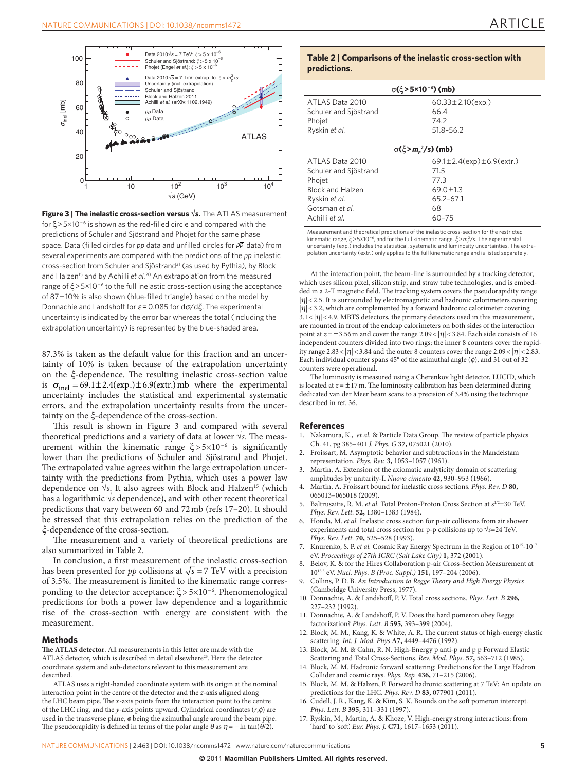

<span id="page-4-7"></span>**Figure 3 | The inelastic cross-section versus √***s***.** The ATLAS measurement for ξ>5×10−6 is shown as the red-filled circle and compared with the predictions of Schuler and Sjöstrand and Phojet for the same phase space. Data (filled circles for *pp* data and unfilled circles for *pp* data) from several experiments are compared with the predictions of the *pp* inelastic cross-section from Schuler and Sjöstrand<sup>[31](#page-5-6)</sup> (as used by Pythia), by Block and Halzen<sup>[15](#page-4-8)</sup> and by Achilli et al.<sup>[20](#page-5-13)</sup> An extrapolation from the measured range of ξ>5×10<sup>-6</sup> to the full inelastic cross-section using the acceptance of 87±10% is also shown (blue-filled triangle) based on the model by Donnachie and Landshoff for  $\varepsilon$  = 0.085 for d $\sigma$ /dξ. The experimental uncertainty is indicated by the error bar whereas the total (including the extrapolation uncertainty) is represented by the blue-shaded area.

87.3% is taken as the default value for this fraction and an uncertainty of 10% is taken because of the extrapolation uncertainty on the ξ-dependence. The resulting inelastic cross-section value is  $\sigma_{\text{inel}} = 69.1 \pm 2.4 \text{(exp.)} \pm 6.9 \text{(extr.)}$  mb where the experimental uncertainty includes the statistical and experimental systematic errors, and the extrapolation uncertainty results from the uncertainty on the ξ-dependence of the cross-section.

This result is shown in [Figure 3](#page-4-7) and compared with several theoretical predictions and a variety of data at lower √*s*. The measurement within the kinematic range ξ>5×10−6 is significantly lower than the predictions of Schuler and Sjöstrand and Phojet. The extrapolated value agrees within the large extrapolation uncertainty with the predictions from Pythia, which uses a power law dependence on *√s*. It also agrees with Block and Halzen<sup>15</sup> (which has a logarithmic √*s* dependence), and with other recent theoretical predictions that vary between 60 and 72mb (refs 17–20). It should be stressed that this extrapolation relies on the prediction of the ξ-dependence of the cross-section.

The measurement and a variety of theoretical predictions are also summarized in [Table 2.](#page-4-9)

In conclusion, a first measurement of the inelastic cross-section has been presented for *pp* collisions at  $\sqrt{s}$  = 7 TeV with a precision of 3.5%. The measurement is limited to the kinematic range corresponding to the detector acceptance: ξ>5×10−6 . Phenomenological predictions for both a power law dependence and a logarithmic rise of the cross-section with energy are consistent with the measurement.

#### **Methods**

**The ATLAS detector**. All measurements in this letter are made with the ATLAS detector, which is described in detail elsewhere<sup>[23](#page-5-1)</sup>. Here the detector coordinate system and sub-detectors relevant to this measurement are described.

ATLAS uses a right-handed coordinate system with its origin at the nominal interaction point in the centre of the detector and the *z*-axis aligned along the LHC beam pipe. The *x*-axis points from the interaction point to the centre of the LHC ring, and the *y*-axis points upward. Cylindrical coordinates (*r*,φ) are used in the transverse plane,  $\phi$  being the azimuthal angle around the beam pipe. The pseudorapidity is defined in terms of the polar angle  $\theta$  as  $\eta = -\ln \tan(\theta/2)$ .

### <span id="page-4-9"></span>**Table 2 | Comparisons of the inelastic cross-section with predictions.**

| $\sigma(\xi > 5 \times 10^{-6})$ (mb) |                                      |  |
|---------------------------------------|--------------------------------------|--|
| ATLAS Data 2010                       | $60.33 \pm 2.10$ (exp.)              |  |
| Schuler and Sjöstrand                 | 66.4                                 |  |
| Phojet                                | 74.2                                 |  |
| Ryskin et al.                         | $51.8 - 56.2$                        |  |
| $\sigma(\xi > m_{n}^{2}/s)$ (mb)      |                                      |  |
| ATI AS Data 2010                      | 69.1 $\pm$ 2.4(exp) $\pm$ 6.9(extr.) |  |
| Schuler and Sjöstrand                 | 71.5                                 |  |
| Phojet                                | 77.3                                 |  |
| <b>Block and Halzen</b>               | $69.0 \pm 1.3$                       |  |
| Ryskin et al.                         | $65.2 - 67.1$                        |  |
| Gotsman et al.                        | 68                                   |  |
| Achilli et al.                        | $60 - 75$                            |  |

Measurement and theoretical predictions of the inelastic cross-section for the restricted kinematic range, ξ>5×10−6 , and for the full kinematic range, ξ>*mp* 2 /*s*. The experimental uncertainty (exp.) includes the statistical, systematic and luminosity uncertainties. The extrapolation uncertainty (extr.) only applies to the full kinematic range and is listed separately.

At the interaction point, the beam-line is surrounded by a tracking detector, which uses silicon pixel, silicon strip, and straw tube technologies, and is embedded in a 2-T magnetic field. The tracking system covers the pseudorapidity range  $|\eta|$  < 2.5. It is surrounded by electromagnetic and hadronic calorimeters covering  $|\eta|$  < 3.2, which are complemented by a forward hadronic calorimeter covering  $3.1 < |\eta| < 4.9$ . MBTS detectors, the primary detectors used in this measurement, are mounted in front of the endcap calorimeters on both sides of the interaction point at  $z = \pm 3.56$  m and cover the range  $2.09 < |\eta| < 3.84$ . Each side consists of 16 independent counters divided into two rings; the inner 8 counters cover the rapidity range  $2.83 < |\eta| < 3.84$  and the outer 8 counters cover the range  $2.09 < |\eta| < 2.83$ . Each individual counter spans 45° of the azimuthal angle (φ), and 31 out of 32 counters were operational.

The luminosity is measured using a Cherenkov light detector, LUCID, which is located at  $z = \pm 17$  m. The luminosity calibration has been determined during dedicated van der Meer beam scans to a precision of 3.4% using the technique described in ref. 36.

#### **References**

- <span id="page-4-0"></span>1. Nakamura, K., *et al.* & Particle Data Group. The review of particle physics Ch. 41, pg 385–401 *J. Phys. G* **37,** 075021 (2010).
- <span id="page-4-1"></span>2. Froissart, M. Asymptotic behavior and subtractions in the Mandelstam representation. *Phys. Rev.* **3,** 1053–1057 (1961).
- 3. Martin, A. Extension of the axiomatic analyticity domain of scattering amplitudes by unitarity-I. *Nuovo cimento* **42,** 930–953 (1966).
- <span id="page-4-2"></span>4. Martin, A. Froissart bound for inelastic cross sections. *Phys. Rev. D* **80,** 065013–065018 (2009).
- <span id="page-4-3"></span>5. Baltrusaitis, R. M. *et al.* Total Proton-Proton Cross Section at  $s^{1/2}$ =30 TeV. *Phys. Rev. Lett.* **52,** 1380–1383 (1984).
- Honda, M. *et al.* Inelastic cross section for p-air collisions from air shower experiments and total cross section for p-p collisions up to √*s*=24 TeV. *Phys. Rev. Lett.* **70,** 525–528 (1993).
- 7. Knurenko, S. P. *et al.* Cosmic Ray Energy Spectrum in the Region of 1015-1017 eV. *Proceedings of 27th ICRC (Salt Lake City)* **1,** 372 (2001).
- 8. Belov, K. & for the Hires Collaboration p-air Cross-Section Measurement at 1018.5 eV. *Nucl. Phys. B (Proc. Suppl.)* **151,** 197–204 (2006).
- <span id="page-4-4"></span>9. Collins, P. D. B. *An Introduction to Regge Theory and High Energy Physics* (Cambridge University Press, 1977).
- 10. Donnachie, A. & Landshoff, P. V. Total cross sections. *Phys. Lett. B* **296,** 227–232 (1992).
- 11. Donnachie, A. & Landshoff, P. V. Does the hard pomeron obey Regge factorization? *Phys. Lett. B* **595,** 393–399 (2004).
- <span id="page-4-5"></span>12. Block, M. M., Kang, K. & White, A. R. The current status of high-energy elastic scattering. *Int. J. Mod. Phys* **A7,** 4449–4476 (1992).
- 13. Block, M. M. & Cahn, R. N. High-Energy p anti-p and p p Forward Elastic Scattering and Total Cross-Sections. *Rev. Mod. Phys.* **57,** 563–712 (1985).
- 14. Block, M. M. Hadronic forward scattering: Predictions for the Large Hadron Collider and cosmic rays. *Phys. Rep.* **436,** 71–215 (2006).
- <span id="page-4-8"></span>15. Block, M. M. & Halzen, F. Forward hadronic scattering at 7 TeV: An update on predictions for the LHC. *Phys. Rev. D* **83,** 077901 (2011).
- 16. Cudell, J. R., Kang, K. & Kim, S. K. Bounds on the soft pomeron intercept. *Phys. Lett. B* **395,** 311–331 (1997).
- <span id="page-4-6"></span>17. Ryskin, M., Martin, A. & Khoze, V. High-energy strong interactions: from 'hard' to 'soft'. *Eur. Phys. J.* **C71,** 1617–1653 (2011).

nature communications | 2:463 | DOI: 10.1038/ncomms1472 | www.nature.com/naturecommunications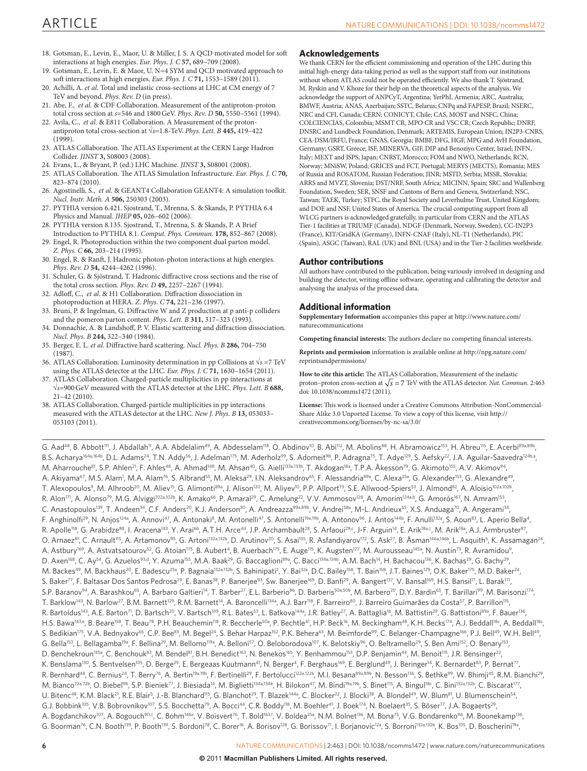- 18. Gotsman, E., Levin, E., Maor, U. & Miller, J. S. A QCD motivated model for soft interactions at high energies. *Eur. Phys. J. C* **57,** 689–709 (2008).
- 19. Gotsman, E., Levin, E. & Maor, U. N=4 SYM and QCD motivated approach to soft interactions at high energies. *Eur. Phys. J. C* **71,** 1553–1589 (2011).
- <span id="page-5-13"></span>20. Achilli, A. *et al.* Total and inelastic cross-sections at LHC at CM energy of 7 TeV and beyond. *Phys. Rev. D* (in press).
- <span id="page-5-0"></span>21. Abe, F., *et al.* & CDF Collaboration. Measurement of the antiproton-proton total cross section at *s*=546 and 1800GeV. *Phys. Rev. D* **50,** 5550–5561 (1994).
- 22. Avila, C., *et al.* & E811 Collaboration. A Measurement of the protonantiproton total cross-section at √*s*=1.8-TeV. *Phys. Lett. B* **445,** 419–422 (1999).
- <span id="page-5-1"></span>23. ATLAS Collaboration. The ATLAS Experiment at the CERN Large Hadron Collider. *JINST* **3,** S08003 (2008).
- <span id="page-5-2"></span>24. Evans, L., & Bryant, P. (ed.) LHC Machine. *JINST* **3,** S08001 (2008).
- <span id="page-5-3"></span>25. ATLAS Collaboration. The ATLAS Simulation Infrastructure. *Eur. Phys. J. C* **70,** 823–874 (2010).
- 26. Agostinelli, S., *et al.* & GEANT4 Collaboration GEANT4: A simulation toolkit. *Nucl. Instr. Meth. A* **506,** 250303 (2003).
- 27. PYTHIA version 6.421. Sjostrand, T., Mrenna, S. & Skands, P. PYTHIA 6.4 Physics and Manual. *JHEP* **05,** 026–602 (2006).
- <span id="page-5-4"></span>28. PYTHIA version 8.135. Sjostrand, T., Mrenna, S. & Skands, P. A Brief Introduction to PYTHIA 8.1. *Comput. Phys. Commun.* **178,** 852–867 (2008).
- <span id="page-5-5"></span>29. Engel, R. Photoproduction within the two component dual parton model. *Z. Phys. C* **66,** 203–214 (1995).
- 30. Engel, R. & Ranft, J. Hadronic photon-photon interactions at high energies. *Phys. Rev. D* **54,** 4244–4262 (1996).
- <span id="page-5-6"></span>31. Schuler, G. & Sjöstrand, T. Hadronic diffractive cross sections and the rise of the total cross section. *Phys. Rev. D* **49,** 2257–2267 (1994).
- <span id="page-5-7"></span>32. Adloff, C., *et al.* & H1 Collaboration. Diffraction dissociation in photoproduction at HERA. *Z. Phys. C* **74,** 221–236 (1997).
- <span id="page-5-8"></span>33. Bruni, P. & Ingelman, G. Diffractive W and Z production at p anti-p colliders and the pomeron parton content. *Phys. Lett. B* **311,** 317–323 (1993).
- <span id="page-5-9"></span>34. Donnachie, A. & Landshoff, P. V. Elastic scattering and diffraction dissociation. *Nucl. Phys. B* **244,** 322–340 (1984).
- <span id="page-5-10"></span>35. Berger, E. L. *et al.* Diffractive hard scattering. *Nucl. Phys. B* **286,** 704–750 (1987).
- <span id="page-5-11"></span>36. ATLAS Collaboration. Luminosity determination in pp Collisions at  $\sqrt{s}$  =7 TeV using the ATLAS detector at the LHC. *Eur. Phys. J. C* **71,** 1630–1654 (2011).
- <span id="page-5-12"></span>37. ATLAS Collaboration. Charged-particle multiplicities in pp interactions at √*s*=900GeV measured with the ATLAS detector at the LHC. *Phys. Lett. B* **688,** 21–42 (2010).
- 38. ATLAS Collaboration. Charged-particle multiplicities in pp interactions measured with the ATLAS detector at the LHC. *New J. Phys. B* **13,** 053033– 053103 (2011).

### **Acknowledgements**

We thank CERN for the efficient commissioning and operation of the LHC during this initial high-energy data-taking period as well as the support staff from our institutions without whom ATLAS could not be operated efficiently. We also thank T. Sjöstrand, M. Ryskin and V. Khoze for their help on the theoretical aspects of the analysis. We acknowledge the support of ANPCyT, Argentina; YerPhI, Armenia; ARC, Australia; BMWF, Austria; ANAS, Azerbaijan; SSTC, Belarus; CNPq and FAPESP, Brazil; NSERC, NRC and CFI, Canada; CERN; CONICYT, Chile; CAS, MOST and NSFC, China; COLCIENCIAS, Colombia; MSMT CR, MPO CR and VSC CR, Czech Republic; DNRF, DNSRC and Lundbeck Foundation, Denmark; ARTEMIS, European Union; IN2P3-CNRS, CEA-DSM/IRFU, France; GNAS, Georgia; BMBF, DFG, HGF, MPG and AvH Foundation, Germany; GSRT, Greece; ISF, MINERVA, GIF, DIP and Benoziyo Center, Israel; INFN, Italy; MEXT and JSPS, Japan; CNRST, Morocco; FOM and NWO, Netherlands; RCN, Norway; MNiSW, Poland; GRICES and FCT, Portugal; MERYS (MECTS), Romania; MES of Russia and ROSATOM, Russian Federation; JINR; MSTD, Serbia; MSSR, Slovakia; ARRS and MVZT, Slovenia; DST/NRF, South Africa; MICINN, Spain; SRC and Wallenberg Foundation, Sweden; SER, SNSF and Cantons of Bern and Geneva, Switzerland; NSC, Taiwan; TAEK, Turkey; STFC, the Royal Society and Leverhulme Trust, United Kingdom; and DOE and NSF, United States of America. The crucial computing support from all WLCG partners is acknowledged gratefully, in particular from CERN and the ATLAS Tier-1 facilities at TRIUMF (Canada), NDGF (Denmark, Norway, Sweden), CC-IN2P3 (France), KIT/GridKA (Germany), INFN-CNAF (Italy), NL-T1 (Netherlands), PIC (Spain), ASGC (Taiwan), RAL (UK) and BNL (USA) and in the Tier-2 facilities worldwide.

### **Author contributions**

All authors have contributed to the publication, being variously involved in designing and building the detector, writing offline software, operating and calibrating the detector and analysing the analysis of the processed data.

### **Additional information**

**Supplementary Information** accompanies this paper at http://www.nature.com/ naturecommunications

**Competing financial interests:** The authors declare no competing financial interests.

**Reprints and permission** information is available online at http://npg.nature.com/ reprintsandpermissions/

**How to cite this article:** The ATLAS Collaboration, Measurement of the inelastic proton–proton cross-section at  $\sqrt{s}$  = 7 TeV with the ATLAS detector. *Nat. Commun.* 2:463 doi: 10.1038/ncomms1472 (2011).

**License:** This work is licensed under a Creative Commons Attribution-NonCommercial-Share Alike 3.0 Unported License. To view a copy of this license, visit http:// creativecommons.org/licenses/by-nc-sa/3.0/

G. Aad<sup>48</sup>, B. Abbott<sup>111</sup>, J. Abdallah<sup>11</sup>, A.A. Abdelalim<sup>49</sup>, A. Abdesselam<sup>118</sup>, O. Abdinov<sup>10</sup>, B. Abi<sup>112</sup>, M. Abolins<sup>88</sup>, H. Abramowicz<sup>153</sup>, H. Abreu<sup>115</sup>, E. Acerbi<sup>89</sup>a,89b B.S. Acharya<sup>164a,164b</sup>, D.L. Adams<sup>24</sup>, T.N. Addy<sup>56</sup>, J. Adelman<sup>175</sup>, M. Aderholz<sup>99</sup>, S. Adomeit<sup>98</sup>, P. Adragna<sup>75</sup>, T. Adye<sup>129</sup>, S. Aefsky<sup>22</sup>, J.A. Aguilar-Saavedra<sup>124b,a</sup>, M. Aharrouche<sup>81</sup>, S.P. Ahlen<sup>21</sup>, F. Ahles<sup>48</sup>, A. Ahmad<sup>148</sup>, M. Ahsan<sup>40</sup>, G. Aielli<sup>133a,133b</sup>, T. Akdogan<sup>18a</sup>, T.P.A. Åkesson<sup>79</sup>, G. Akimoto<sup>155</sup>, A.V. Akimov<sup>94</sup>, A. Akiyama<sup>67</sup>, M.S. Alam<sup>1</sup>, M.A. Alam<sup>76</sup>, S. Albrand<sup>55</sup>, M. Aleksa<sup>29</sup>, I.N. Aleksandrov<sup>65</sup>, F. Alessandria<sup>89a</sup>, C. Alexa<sup>25a</sup>, G. Alexander<sup>153</sup>, G. Alexandre<sup>49</sup>, T. Alexopoulos<sup>9</sup>, M. Alhroob<sup>20</sup>, M. Aliev<sup>15</sup>, G. Alimonti<sup>89a</sup>, J. Alison<sup>120</sup>, M. Aliyev<sup>10</sup>, P.P. Allport<sup>73</sup>, S.E. Allwood-Spiers<sup>53</sup>, J. Almond<sup>82</sup>, A. Aloisio<sup>102a,102b</sup>, R. Alon<sup>171</sup>, A. Alonso<sup>79</sup>, M.G. Alviggi<sup>102a,102b</sup>, K. Amako<sup>66</sup>, P. Amaral<sup>29</sup>, C. Amelung<sup>22</sup>, V.V. Ammosov<sup>128</sup>, A. Amorim<sup>124a,b</sup>, G. Amorós<sup>167</sup>, N. Amram<sup>153</sup>, C. Anastopoulos<sup>139</sup>, T. Andeen<sup>34</sup>, C.F. Anders<sup>20</sup>, K.J. Anderson<sup>30</sup>, A. Andreazza<sup>89a,89b</sup>, V. Andrei<sup>58a</sup>, M-L. Andrieux<sup>55</sup>, X.S. Anduaga<sup>70</sup>, A. Angerami<sup>34</sup>, F. Anghinolfi<sup>29</sup>, N. Anjos<sup>124a</sup>, A. Annovi<sup>47</sup>, A. Antonaki<sup>8</sup>, M. Antonelli<sup>147</sup>, S. Antonelli<sup>19a,19b</sup>, A. Antonov<sup>96</sup>, J. Antos<sup>144b</sup>, F. Anulli<sup>132a</sup>, S. Aoun<sup>83</sup>, L. Aperio Bella<sup>4</sup>, R. Apolle<sup>118</sup>, G. Arabidze<sup>88</sup>, I. Aracena<sup>143</sup>, Y. Arai<sup>66</sup>, A.T.H. Arce<sup>44</sup>, J.P. Archambault<sup>28</sup>, S. Arfaoui<sup>29,c</sup>, J-F. Arguin<sup>14</sup>, E. Arik<sup>18a,‡</sup>, M. Arik<sup>18a</sup>, A.J. Armbruster<sup>87</sup>, O. Arnaez<sup>81</sup>, C. Arnault<sup>115</sup>, A. Artamonov<sup>95</sup>, G. Artoni<sup>132a,132b</sup>, D. Arutinov<sup>20</sup>, S. Asai<sup>155</sup>, R. Asfandiyarov<sup>172</sup>, S. Ask<sup>27</sup>, B. Åsman<sup>146a,146b, L. Asquith<sup>5</sup>, K. Assamagan<sup>24</sup>,</sup> A. Astbury<sup>169</sup>, A. Astvatsatourov<sup>52</sup>, G. Atoian<sup>175</sup>, B. Aubert<sup>4</sup>, B. Auerbach<sup>175</sup>, E. Auge<sup>115</sup>, K. Augsten<sup>127</sup>, M. Aurousseau<sup>145a</sup>, N. Austin<sup>73</sup>, R. Avramidou<sup>9</sup>, D. Axen<sup>168</sup>, C. Ay<sup>54</sup>, G. Azuelos<sup>93,d</sup>, Y. Azuma<sup>155</sup>, M.A. Baak<sup>29</sup>, G. Baccaglioni<sup>89a</sup>, C. Bacci<sup>134a,134b</sup>, A.M. Bach<sup>14</sup>, H. Bachacou<sup>136</sup>, K. Bachas<sup>29</sup>, G. Bachy<sup>29</sup>, M. Backes<sup>49</sup>, M. Backhaus<sup>20</sup>, E. Badescu<sup>25a</sup>, P. Bagnaia<sup>132a,132b</sup>, S. Bahinipati<sup>2</sup>, Y. Bai $^{22a}$ , D.C. Bailey<sup>158</sup>, J.T. Baines<sup>129</sup>, O.K. Baker<sup>175</sup>, M.D. Baker<sup>24</sup>, S. Baker<sup>77</sup>, F. Baltasar Dos Santos Pedrosa<sup>29</sup>, E. Banas<sup>38</sup>, P. Banerjee<sup>93</sup>, Sw. Banerjee<sup>169</sup>, D. Banfi<sup>29</sup>, A. Bangert<sup>137</sup>, V. Bansal<sup>169</sup>, H.S. Bansil<sup>17</sup>, L. Barak<sup>171</sup>, S.P. Baranov<sup>94</sup>, A. Barashkou<sup>65</sup>, A. Barbaro Galtieri<sup>14</sup>, T. Barber<sup>27</sup>, E.L. Barberio<sup>86</sup>, D. Barberis<sup>50a,50b</sup>, M. Barbero<sup>20</sup>, D.Y. Bardin<sup>65</sup>, T. Barillari<sup>99</sup>, M. Barisonzi<sup>174</sup>, T. Barklow<sup>143</sup>, N. Barlow<sup>27</sup>, B.M. Barnett<sup>129</sup>, R.M. Barnett<sup>14</sup>, A. Baroncelli<sup>134a</sup>, A.J. Barri<sup>118</sup>, F. Barreiro<sup>80</sup>, J. Barreiro Guimarães da Costa<sup>57</sup>, P. Barrillon<sup>115</sup>, R. Bartoldus<sup>143</sup>, A.E. Barton<sup>71</sup>, D. Bartsch<sup>20</sup>, V. Bartsch<sup>149</sup>, R.L. Bates<sup>53</sup>, L. Batkova<sup>144a</sup>, J.R. Batley<sup>27</sup>, A. Battaglia<sup>16</sup>, M. Battistin<sup>29</sup>, G. Battistoni<sup>89a</sup>, F. Bauer<sup>136</sup>, H.S. Bawa<sup>143,e</sup>, B. Beare<sup>158</sup>, T. Beau<sup>78</sup>, P.H. Beauchemin<sup>118</sup>, R. Beccherle<sup>50a</sup>, P. Bechtle<sup>41</sup>, H.P. Beck<sup>16</sup>, M. Beckingham<sup>48</sup>, K.H. Becks<sup>174</sup>, A.J. Beddall<sup>18c</sup>, A. Beddall<sup>18c</sup>, S. Bedikian<sup>175</sup>, V.A. Bednyakov<sup>65</sup>, C.P. Bee<sup>83</sup>, M. Begel<sup>24</sup>, S. Behar Harpaz<sup>152</sup>, P.K. Behera<sup>63</sup>, M. Beimforde<sup>99</sup>, C. Belanger-Champagne<sup>166</sup>, P.J. Bell<sup>49</sup>, W.H. Bell<sup>49</sup>, G. Bella<sup>153</sup>, L. Bellagamba<sup>19a</sup>, F. Bellina<sup>29</sup>, M. Bellomo<sup>119a</sup>, A. Belloni<sup>57</sup>, O. Beloborodova<sup>107</sup>, K. Belotskiy<sup>96</sup>, O. Beltramello<sup>29</sup>, S. Ben Ami<sup>152</sup>, O. Benary<sup>153</sup>, D. Benchekroun<sup>135a</sup>, C. Benchouk<sup>83</sup>, M. Bendel<sup>81</sup>, B.H. Benedict<sup>163</sup>, N. Benekos<sup>165</sup>, Y. Benhammou<sup>153</sup>, D.P. Benjamin<sup>44</sup>, M. Benoit<sup>115</sup>, J.R. Bensinger<sup>22</sup>, K. Benslama<sup>130</sup>, S. Bentvelsen<sup>105</sup>, D. Berge<sup>29</sup>, E. Bergeaas Kuutmann<sup>41</sup>, N. Berger<sup>4</sup>, F. Berghaus<sup>169</sup>, E. Berglund<sup>49</sup>, J. Beringer<sup>14</sup>, K. Bernardet<sup>83</sup>, P. Bernat<sup>77</sup>, R. Bernhard<sup>48</sup>, C. Bernius<sup>24</sup>, T. Berry<sup>76</sup>, A. Bertin<sup>19a,19b</sup>, F. Bertinelli<sup>29</sup>, F. Bertolucci<sup>122a,122b</sup>, M.I. Besana<sup>89a,89b</sup>, N. Besson<sup>136</sup>, S. Bethke<sup>99</sup>, W. Bhimji<sup>45</sup>, R.M. Bianchi<sup>29</sup>, M. Bianco<sup>72a,72b</sup>, O. Biebel<sup>98</sup>, S.P. Bieniek<sup>77</sup>, J. Biesiada<sup>14</sup>, M. Biglietti<sup>134a,134b</sup>, H. Bilokon<sup>47</sup>, M. Bindi<sup>19a,19b</sup>, S. Binet<sup>115</sup>, A. Bingul<sup>18c</sup>, C. Bini<sup>132a,132b</sup>, C. Biscarat<sup>177</sup>, U. Bitenc<sup>48</sup>, K.M. Black<sup>21</sup>, R.E. Blair<sup>5</sup>, J.-B. Blanchard<sup>115</sup>, G. Blanchot<sup>29</sup>, T. Blazek<sup>144a</sup>, C. Blocker<sup>22</sup>, J. Blocki<sup>38</sup>, A. Blondel<sup>49</sup>, W. Blum<sup>81</sup>, U. Blumenschein<sup>54</sup>, G.J. Bobbink<sup>105</sup>, V.B. Bobrovnikov<sup>107</sup>, S.S. Bocchetta<sup>79</sup>, A. Bocci<sup>44</sup>, C.R. Boddy<sup>118</sup>, M. Boehler<sup>41</sup>, J. Boek<sup>174</sup>, N. Boelaert<sup>35</sup>, S. Böser<sup>77</sup>, J.A. Bogaerts<sup>29</sup>, A. Bogdanchikov<sup>107</sup>, A. Bogouch<sup>90,‡</sup>, C. Bohm<sup>146a</sup>, V. Boisvert<sup>76</sup>, T. Bold<sup>163,f</sup>, V. Boldea<sup>25a</sup>, N.M. Bolnet<sup>136</sup>, M. Bona<sup>75</sup>, V.G. Bondarenko<sup>96</sup>, M. Boonekamp<sup>136</sup>, G. Boorman<sup>76</sup>, C.N. Booth<sup>139</sup>, P. Booth<sup>139</sup>, S. Bordoni<sup>78</sup>, C. Borer<sup>16</sup>, A. Borisov<sup>128</sup>, G. Borissov<sup>71</sup>, I. Borjanovic<sup>12a</sup>, S. Borroni<sup>132a,132b</sup>, K. Bos<sup>105</sup>, D. Boscherini<sup>19a</sup>,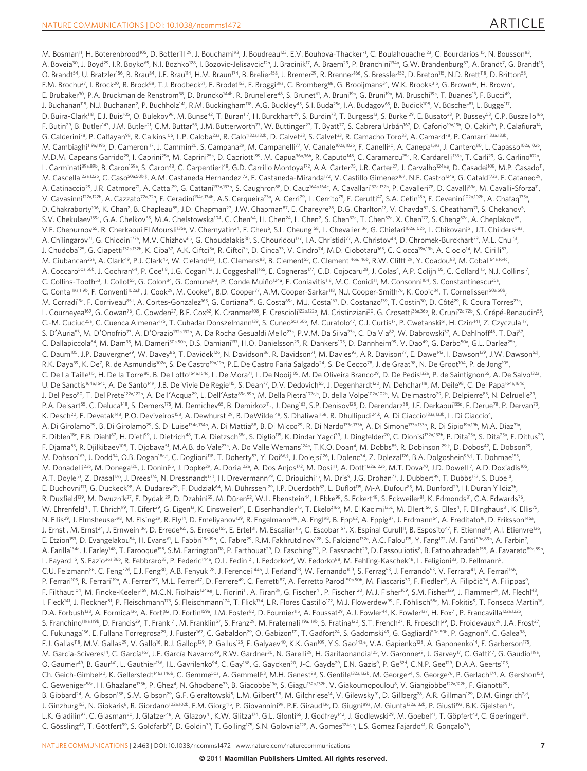M. Bosman<sup>11</sup>, H. Boterenbrood<sup>105</sup>, D. Botterill<sup>129</sup>, J. Bouchami<sup>93</sup>, J. Boudreau<sup>123</sup>, E.V. Bouhova-Thacker<sup>71</sup>, C. Boulahouache<sup>123</sup>, C. Bourdarios<sup>115</sup>, N. Bousson<sup>83</sup>, A. Boveia<sup>30</sup>, J. Boyd<sup>29</sup>, I.R. Boyko<sup>65</sup>, N.I. Bozhko<sup>128</sup>, I. Bozovic-Jelisavcic<sup>12b</sup>, J. Bracinik<sup>17</sup>, A. Braem<sup>29</sup>, P. Branchini<sup>134a</sup>, G.W. Brandenburg<sup>57</sup>, A. Brandt<sup>15</sup>, G. Brandt<sup>15</sup>, O. Brandt<sup>54</sup>, U. Bratzler<sup>156</sup>, B. Brau<sup>84</sup>, J.E. Brau<sup>114</sup>, H.M. Braun<sup>174</sup>, B. Brelier<sup>158</sup>, J. Bremer<sup>29</sup>, R. Brenner<sup>166</sup>, S. Bressler<sup>152</sup>, D. Breton<sup>115</sup>, N.D. Brett<sup>118</sup>, D. Britton<sup>53</sup>, F.M. Brochu<sup>27</sup>, I. Brock<sup>20</sup>, R. Brock<sup>88</sup>, T.J. Brodbeck<sup>71</sup>, E. Brodet<sup>153</sup>, F. Broggi<sup>89a</sup>, C. Bromberg<sup>88</sup>, G. Brooijmans<sup>34</sup>, W.K. Brooks<sup>31b</sup>, G. Brown<sup>8</sup>2, H. Brown<sup>7</sup>, E. Brubaker<sup>30</sup>, P.A. Bruckman de Renstrom<sup>38</sup>, D. Bruncko<sup>144b</sup>, R. Bruneliere<sup>48</sup>, S. Brunet<sup>61</sup>, A. Bruni<sup>19a</sup>, G. Bruni<sup>19a</sup>, M. Bruschi<sup>19a</sup>, T. Buanes<sup>13</sup>, F. Bucci<sup>49</sup>, J. Buchanan™, N.J. Buchanan<sup>2</sup>, P. Buchholz™, R.M. Buckingham™, A.G. Buckley<sup>45</sup>, S.I. Buda<sup>zsa</sup>, I.A. Budagov<sup>65</sup>, B. Budick™, V. Büscher<sup>81</sup>, L. Bugge™, D. Buira-Clark<sup>118</sup>, E.J. Buis<sup>105</sup>, O. Bulekov<sup>96</sup>, M. Bunse<sup>42</sup>, T. Buran<sup>117</sup>, H. Burckhart<sup>29</sup>, S. Burdin<sup>73</sup>, T. Burgess<sup>13</sup>, S. Burke<sup>129</sup>, E. Busato<sup>33</sup>, P. Bussey<sup>53</sup>, C.P. Buszello<sup>166</sup>, F. Butin<sup>29</sup>, B. Butler<sup>143</sup>, J.M. Butler<sup>21</sup>, C.M. Buttar<sup>53</sup>, J.M. Butterworth<sup>77</sup>, W. Buttinger<sup>27</sup>, T. Byatt<sup>77</sup>, S. Cabrera Urbán<sup>167</sup>, D. Caforio<sup>19a,19b</sup>, O. Cakir<sup>3a</sup>, P. Calafiura<sup>14</sup>, G. Calderini<sup>78</sup>, P. Calfayan<sup>98</sup>, R. Calkins<sup>106</sup>, L.P. Caloba<sup>23a</sup>, R. Caloi<sup>132a,132b</sup>, D. Calvet<sup>33</sup>, S. Calvet<sup>33</sup>, R. Camacho Toro<sup>33</sup>, A. Camard<sup>78</sup>, P. Camarri<sup>133a,133b</sup>, M. Cambiaghi<sup>119a,119b</sup>, D. Cameron<sup>117</sup>, J. Cammin<sup>20</sup>, S. Campana<sup>29</sup>, M. Campanelli<sup>77</sup>, V. Canale<sup>102a,102b</sup>, F. Canelli<sup>30</sup>, A. Canepa<sup>159a</sup>, J. Cantero<sup>80</sup>, L. Capasso<sup>102a,102b</sup>, M.D.M. Capeans Garrido<sup>29</sup>, I. Caprini<sup>25a</sup>, M. Caprini<sup>25a</sup>, D. Capriotti<sup>99</sup>, M. Capua<sup>36a,36b</sup>, R. Caputo<sup>148</sup>, C. Caramarcu<sup>25a</sup>, R. Cardarelli<sup>133a</sup>, T. Carli<sup>29</sup>, G. Carlino<sup>102a</sup>, L. Carminati<sup>89a,89b</sup>, B. Caron<sup>159a</sup>, S. Caron<sup>48</sup>, C. Carpentieri<sup>48</sup>, G.D. Carrillo Montoya<sup>172</sup>, A.A. Carter<sup>75</sup>, J.R. Carter<sup>27</sup>, J. Carvalho<sup>124a,g</sup>, D. Casadei<sup>108</sup>, M.P. Casado<sup>11</sup>, M. Cascella<sup>122a,122b</sup>, C. Caso<sup>50a,50b,‡</sup>, A.M. Castaneda Hernandez<sup>172</sup>, E. Castaneda-Miranda<sup>172</sup>, V. Castillo Gimenez<sup>167</sup>, N.F. Castro<sup>124a</sup>, G. Cataldi<sup>72a</sup>, F. Cataneo<sup>29</sup>, A. Catinaccio<sup>29</sup>, J.R. Catmore<sup>71</sup>, A. Cattai<sup>29</sup>, G. Cattani<sup>133a,133b</sup>, S. Caughron<sup>88</sup>, D. Cauzl<sup>64a,164c</sup>, A. Cavallari<sup>132a,132b</sup>, P. Cavalleri<sup>78</sup>, D. Cavalli<sup>89a</sup>, M. Cavalli-Sforza<sup>11</sup>, V. Cavasinni<sup>122a,122b</sup>, A. Cazzato<sup>72a,72b</sup>, F. Ceradini<sup>134a,134b</sup>, A.S. Cerqueira<sup>23a</sup>, A. Cerri<sup>29</sup>, L. Cerrito<sup>75</sup>, F. Cerutti<sup>47</sup>, S.A. Cetin<sup>18b</sup>, F. Cevenini<sup>102a,102b</sup>, A. Chafaq<sup>135a</sup>, D. Chakraborty<sup>106</sup>, K. Chan<sup>2</sup>, B. Chapleau<sup>85</sup>, J.D. Chapman<sup>27</sup>, J.W. Chapman<sup>87</sup>, E. Chareyre<sup>78</sup>, D.G. Charlton<sup>17</sup>, V. Chavda<sup>82</sup>, S. Cheatham<sup>71</sup>, S. Chekanov<sup>5</sup>, S.V. Chekulaev<sup>159a</sup>, G.A. Chelkov<sup>65</sup>, M.A. Chelstowska<sup>104</sup>, C. Chen<sup>64</sup>, H. Chen<sup>24</sup>, L. Chen<sup>3</sup>, S. Chen<sup>32c</sup>, T. Chen<sup>32c</sup>, X. Chen<sup>172</sup>, S. Cheng<sup>32a</sup>, A. Cheplakov<sup>65</sup>, V.F. Chepurnov<sup>65</sup>, R. Cherkaoui El Moursli<sup>135e</sup>, V. Chernyatin<sup>24</sup>, E. Cheu<sup>6</sup>, S.L. Cheung<sup>158</sup>, L. Chevalier<sup>136</sup>, G. Chiefari<sup>102a,102b, L. Chikovani<sup>51</sup>, J.T. Childers<sup>58a</sup>,</sup> A. Chilingarov<sup>71</sup>, G. Chiodini<sup>72a</sup>, M.V. Chizhov<sup>65</sup>, G. Choudalakis<sup>30</sup>, S. Chouridou<sup>137</sup>, I.A. Christidi<sup>77</sup>, A. Christov<sup>48</sup>, D. Chromek-Burckhart<sup>29</sup>, M.L. Chu<sup>151</sup>, J. Chudoba<sup>125</sup>, G. Ciapetti<sup>132a,132b</sup>, K. Ciba<sup>37</sup>, A.K. Ciftci<sup>3a</sup>, R. Ciftci<sup>3a</sup>, D. Cinca<sup>33</sup>, V. Cindro<sup>74</sup>, M.D. Ciobotaru<sup>163</sup>, C. Ciocca<sup>19a,19b</sup>, A. Ciocio<sup>14</sup>, M. Cirilli<sup>87</sup>, M. Ciubancan<sup>25a</sup>, A. Clark<sup>49</sup>, P.J. Clark<sup>45</sup>, W. Cleland<sup>123</sup>, J.C. Clemens<sup>83</sup>, B. Clement<sup>155</sup>, C. Clement<sup>146a,146b</sup>, R.W. Clifft<sup>129</sup>, Y. Coadou<sup>83</sup>, M. Cobal<sup>164a,164c</sup>, A. Coccaro<sup>50a,50b</sup>, J. Cochran<sup>64</sup>, P. Coe<sup>118</sup>, J.G. Cogan<sup>143</sup>, J. Coggeshall<sup>165</sup>, E. Cogneras<sup>177</sup>, C.D. Cojocaru<sup>28</sup>, J. Colas<sup>4</sup>, A.P. Colijn<sup>105</sup>, C. Collard<sup>115</sup>, N.J. Collins<sup>17</sup>, C. Collins-Tooth<sup>53</sup>, J. Collot<sup>55</sup>, G. Colon<sup>84</sup>, G. Comune<sup>88</sup>, P. Conde Muiño<sup>124a</sup>, E. Coniavitis<sup>118</sup>, M.C. Conidi<sup>11</sup>, M. Consonni<sup>104</sup>, S. Constantinescu<sup>25a</sup>, C. Conta<sup>119a,119b</sup>, F. Conventi<sup>102a,h</sup>, J. Cook<sup>29</sup>, M. Cooke<sup>14</sup>, B.D. Cooper<sup>77</sup>, A.M. Cooper-Sarkar<sup>118</sup>, N.J. Cooper-Smith<sup>76</sup>, K. Copic<sup>34</sup>, T. Cornelissen<sup>50a,50b</sup>, M. Corradi<sup>19a</sup>, F. Corriveau<sup>85,i</sup>, A. Cortes-Gonzalez<sup>165</sup>, G. Cortiana<sup>99</sup>, G. Costa<sup>89a</sup>, M.J. Costa<sup>167</sup>, D. Costanzo<sup>139</sup>, T. Costin<sup>30</sup>, D. Côté<sup>29</sup>, R. Coura Torres<sup>23a</sup>, L. Courneyea<sup>169</sup>, G. Cowan<sup>76</sup>, C. Cowden<sup>27</sup>, B.E. Cox<sup>82</sup>, K. Cranmer<sup>108</sup>, F. Crescioli<sup>122a,122b</sup>, M. Cristinziani<sup>20</sup>, G. Crosetti<sup>36a,36b</sup>, R. Crupi<sup>72a,72b</sup>, S. Crépé-Renaudin<sup>55</sup>, C.-M. Cuciuc<sup>25a</sup>, C. Cuenca Almenar<sup>175</sup>, T. Cuhadar Donszelmann<sup>139</sup>, S. Cuneo<sup>50a,50b</sup>, M. Curatolo<sup>47</sup>, C.J. Curtis<sup>17</sup>, P. Cwetanski<sup>61</sup>, H. Czirr<sup>141</sup>, Z. Czyczula<sup>117</sup>, S. D'Auria<sup>53</sup>, M. D'Onofrio<sup>73</sup>, A. D'Orazio<sup>132a,132b</sup>, A. Da Rocha Gesualdi Mello<sup>23a</sup>, P.V.M. Da Silva<sup>23a</sup>, C. Da Via<sup>82</sup>, W. Dabrowski<sup>37</sup>, A. Dahlhoff<sup>48</sup>, T. Dai<sup>87</sup>, C. Dallapiccola84, M. Dam<sup>35</sup>, M. Dameri<sup>50a,50b</sup>, D.S. Damiani<sup>137</sup>, H.O. Danielsson<sup>29</sup>, R. Dankers<sup>105</sup>, D. Dannheim<sup>99</sup>, V. Dao<sup>49</sup>, G. Darbo<sup>50a</sup>, G.L. Darlea<sup>25b</sup>, C. Daum<sup>105</sup>, J.P. Dauvergne<sup>29</sup>, W. Davey<sup>86</sup>, T. Davidek<sup>126</sup>, N. Davidson<sup>86</sup>, R. Davidson<sup>71</sup>, M. Davies<sup>93</sup>, A.R. Davison<sup>77</sup>, E. Dawe<sup>142</sup>, I. Dawson<sup>139</sup>, J.W. Dawson<sup>5,‡</sup>, R.K. Daya<sup>39</sup>, K. De<sup>7</sup>, R. de Asmundis<sup>102a</sup>, S. De Castro<sup>19a,196</sup>, P.E. De Castro Faria Salgado<sup>24</sup>, S. De Cecco<sup>78</sup>, J. de Graat<sup>98</sup>, N. De Groot<sup>104</sup>, P. de Jong<sup>105</sup>, C. De La Taille<sup>115</sup>, H. De la Torre<sup>80</sup>, B. De Lotto<sup>164a,164c</sup>, L. De Mora<sup>71</sup>, L. De Nooij<sup>105</sup>, M. De Oliveira Branco<sup>29</sup>, D. De Pedis<sup>132a</sup>, P. de Saintignon<sup>55</sup>, A. De Salvo<sup>132a</sup>, U. De Sanctis<sup>164a,164c</sup>, A. De Santo<sup>149</sup>, J.B. De Vivie De Regie<sup>115</sup>, S. Dean<sup>77</sup>, D.V. Dedovich<sup>65</sup>, J. Degenhardt<sup>120</sup>, M. Dehchar<sup>118</sup>, M. Deile<sup>98</sup>, C. Del Papa<sup>164a,164c</sup>, J. Del Peso<sup>80</sup>, T. Del Prete<sup>122a,122b</sup>, A. Dell'Acqua<sup>29</sup>, L. Dell'Asta<sup>89</sup>a,89b, M. Della Pietra<sup>102a,h</sup>, D. della Volpe<sup>102a,102b</sup>, M. Delmastro<sup>29</sup>, P. Delpierre<sup>83</sup>, N. Delruelle<sup>29</sup>, P.A. Delsart<sup>55</sup>, C. Deluca<sup>148</sup>, S. Demers<sup>175</sup>, M. Demichev<sup>65</sup>, B. Demirkoz<sup>11,j</sup>, J. Deng<sup>163</sup>, S.P. Denisov<sup>128</sup>, D. Derendarz<sup>38</sup>, J.E. Derkaoui<sup>135d</sup>, F. Derue<sup>78</sup>, P. Dervan<sup>73</sup>, K. Desch<sup>20</sup>, E. Devetak<sup>148</sup>, P.O. Deviveiros<sup>158</sup>, A. Dewhurst<sup>129</sup>, B. DeWilde<sup>148</sup>, S. Dhaliwal<sup>158</sup>, R. Dhullipudi<sup>24,k</sup>, A. Di Ciaccio<sup>133a,133b</sup>, L. Di Ciaccio<sup>4</sup>, A. Di Girolamo<sup>29</sup>, B. Di Girolamo<sup>29</sup>, S. Di Luise<sup>134a,134b</sup>, A. Di Mattia<sup>88</sup>, B. Di Micco<sup>29</sup>, R. Di Nardo<sup>133a,133b</sup>, A. Di Simone<sup>133a,133b</sup>, R. Di Sipio<sup>19a,19b</sup>, M.A. Diaz<sup>31a</sup>, F. Diblen<sup>18c</sup>, E.B. Diehl<sup>87</sup>, H. Dietl<sup>99</sup>, J. Dietrich<sup>48</sup>, T.A. Dietzsch<sup>58a</sup>, S. Diglio<sup>115</sup>, K. Dindar Yagci<sup>39</sup>, J. Dingfelder<sup>20</sup>, C. Dionisi<sup>132a,132b, P. Dita<sup>25a</sup>, S. Dittus<sup>29</sup>,</sup> F. Djama83, R. Djilkibaev108, T. Djobava51, M.A.B. do Vale23a, A. Do Valle Wemans124a, T.K.O. Doan4, M. Dobbs85, R. Dobinson 29,‡, D. Dobos42, E. Dobson29, M. Dobson<sup>163</sup>, J. Dodd<sup>34</sup>, O.B. Dogan<sup>18a,‡</sup>, C. Doglioni<sup>118</sup>, T. Doherty<sup>53</sup>, Y. Doi<sup>66,‡</sup>, J. Doleisi<sup>126</sup>, I. Dolezal<sup>126</sup>, B.A. Dolgoshein<sup>96,‡</sup>, T. Dohmae<sup>155</sup>, M. Donadelli<sup>23b</sup>, M. Donega<sup>120</sup>, J. Donini<sup>55</sup>, J. Dopke<sup>29</sup>, A. Doria<sup>102a</sup>, A. Dos Anjos<sup>172</sup>, M. Dosil<sup>11</sup>, A. Dotti<sup>122a,122b</sup>, M.T. Dova<sup>70</sup>, J.D. Dowell<sup>17</sup>, A.D. Doxiadis<sup>105</sup>, A.T. Doyle<sup>s3</sup>, Z. Drasal<sup>126</sup>, J. Drees<sup>174</sup>, N. Dressnandt<sup>120</sup>, H. Drevermann<sup>29</sup>, C. Driouichi<sup>35</sup>, M. Dris<sup>9</sup>, J.G. Drohan<sup>77</sup>, J. Dubbert<sup>99</sup>, T. Dubbs<sup>137</sup>, S. Dube<sup>14</sup>, E. Duchovni<sup>171</sup>, G. Duckeck<sup>98</sup>, A. Dudarev<sup>29</sup>, F. Dudziak<sup>64</sup>, M. Dührssen <sup>29</sup>, I.P. Duerdoth<sup>82</sup>, L. Duflot<sup>115</sup>, M-A. Dufour<sup>85</sup>, M. Dunford<sup>29</sup>, H. Duran Yildiz<sup>3b</sup>, R. Duxfield<sup>139</sup>, M. Dwuznik<sup>37</sup>, F. Dydak <sup>29</sup>, D. Dzahini<sup>55</sup>, M. Düren<sup>52</sup>, W.L. Ebenstein<sup>44</sup>, J. Ebke<sup>98</sup>, S. Eckert<sup>48</sup>, S. Eckweiler<sup>81</sup>, K. Edmonds<sup>81</sup>, C.A. Edwards<sup>76</sup>, W. Ehrenfeld<sup>41</sup>, T. Ehrich<sup>99</sup>, T. Eifert<sup>29</sup>, G. Eigen<sup>13</sup>, K. Einsweiler<sup>14</sup>, E. Eisenhandler<sup>75</sup>, T. Ekelof<sup>166</sup>, M. El Kacimi<sup>135c</sup>, M. Ellert<sup>166</sup>, S. Elles<sup>4</sup>, F. Ellinghaus<sup>81</sup>, K. Ellis7<sup>5</sup>, N. Ellis<sup>29</sup>, J. Elmsheuser<sup>98</sup>, M. Elsing<sup>29</sup>, R. Ely<sup>14</sup>, D. Emeliyanov<sup>129</sup>, R. Engelmann<sup>148</sup>, A. Engl<sup>98</sup>, B. Epp<sup>62</sup>, A. Eppig<sup>87</sup>, J. Erdmann<sup>54</sup>, A. Ereditato<sup>16</sup>, D. Eriksson<sup>146a</sup>, J. Ernst<sup>1</sup>, M. Ernst<sup>24</sup>, J. Ernwein<sup>136</sup>, D. Errede<sup>165</sup>, S. Errede<sup>165</sup>, E. Ertel<sup>81</sup>, M. Escalier<sup>115</sup>, C. Escobar<sup>167</sup>, X. Espinal Curull<sup>11</sup>, B. Esposito<sup>47</sup>, F. Etienne<sup>83</sup>, A.I. Etienvre<sup>136</sup>, E. Etzion<sup>153</sup>, D. Evangelakou<sup>54</sup>, H. Evans<sup>61</sup>, L. Fabbri<sup>19a,19b</sup>, C. Fabre<sup>29</sup>, R.M. Fakhrutdinov<sup>128</sup>, S. Falciano<sup>132a</sup>, A.C. Falou<sup>115</sup>, Y. Fang<sup>172</sup>, M. Fanti<sup>89a,89b</sup>, A. Farbin<sup>7</sup>, A. Farilla<sup>134a</sup>, J. Farley<sup>148</sup>, T. Farooque<sup>158</sup>, S.M. Farrington<sup>118</sup>, P. Farthouat<sup>29</sup>, D. Fasching<sup>172</sup>, P. Fassnacht<sup>29</sup>, D. Fassouliotis<sup>8</sup>, B. Fatholahzadeh<sup>158</sup>, A. Favareto<sup>89a,89b</sup>, L. Fayard<sup>115</sup>, S. Fazio<sup>36a,36b</sup>, R. Febbraro<sup>33</sup>, P. Federic<sup>144a</sup>, O.L. Fedin<sup>121</sup>, I. Fedorko<sup>29</sup>, W. Fedorko<sup>88</sup>, M. Fehling-Kaschek<sup>48</sup>, L. Feligioni<sup>83</sup>, D. Fellmann<sup>5</sup>, C.U. Felzmann<sup>86</sup>, C. Feng<sup>32d</sup>, E.J. Feng<sup>30</sup>, A.B. Fenyuk<sup>128</sup>, J. Ferencei<sup>144b</sup>, J. Ferland<sup>93</sup>, W. Fernando<sup>109</sup>, S. Ferrag<sup>53</sup>, J. Ferrando<sup>53</sup>, V. Ferrara<sup>41</sup>, A. Ferrari<sup>166</sup>, P. Ferrari<sup>105</sup>, R. Ferrari<sup>119a</sup>, A. Ferrer<sup>167</sup>, M.L. Ferrer<sup>47</sup>, D. Ferrere<sup>49</sup>, C. Ferretti<sup>87</sup>, A. Ferretto Parodi<sup>50a,50b</sup>, M. Fiascaris<sup>30</sup>, F. Fiedler<sup>81</sup>, A. Filipčič<sup>74</sup>, A. Filippas<sup>9</sup>, F. Filthaut<sup>104</sup>, M. Fincke-Keeler<sup>169</sup>, M.C.N. Fiolhais<sup>124a,g</sup>, L. Fiorini<sup>11</sup>, A. Firan<sup>39</sup>, G. Fischer<sup>41</sup>, P. Fischer<sup>20</sup>, M.J. Fisher<sup>109</sup>, S.M. Fisher<sup>129</sup>, J. Flammer<sup>29</sup>, M. Flechl<sup>48</sup>, l. Fleck<sup>141</sup>, J. Fleckner<sup>81</sup>, P. Fleischmann<sup>173</sup>, S. Fleischmann<sup>174</sup>, T. Flick<sup>174</sup>, L.R. Flores Castillo<sup>172</sup>, M.J. Flowerdew<sup>99</sup>, F. Föhlisch<sup>58a</sup>, M. Fokitis<sup>9</sup>, T. Fonseca Martin<sup>16</sup>, D.A. Forbush<sup>138</sup>, A. Formica<sup>136</sup>, A. Forti<sup>82</sup>, D. Fortin<sup>159a</sup>, J.M. Foster<sup>82</sup>, D. Fournier<sup>115</sup>, A. Foussat<sup>29</sup>, A.J. Fowler<sup>44</sup>, K. Fowler<sup>137</sup>, H. Fox<sup>71</sup>, P. Francavilla<sup>122a,122b</sup>, S. Franchino<sup>119a,119b</sup>, D. Francis<sup>29</sup>, T. Frank<sup>171</sup>, M. Franklin<sup>57</sup>, S. Franz<sup>29</sup>, M. Fraternali<sup>119a,119b</sup>, S. Fratina<sup>120</sup>, S.T. French<sup>27</sup>, R. Froeschl<sup>29</sup>, D. Froidevaux<sup>29</sup>, J.A. Frost<sup>27</sup>, C. Fukunaga<sup>156</sup>, E. Fullana Torregrosa<sup>29</sup>, J. Fuster<sup>167</sup>, C. Gabaldon<sup>29</sup>, O. Gabizon<sup>171</sup>, T. Gadfort<sup>24</sup>, S. Gadomski<sup>49</sup>, G. Gagliardi<sup>50a,50b</sup>, P. Gagnon<sup>61</sup>, C. Galea<sup>98</sup>, E.J. Gallas<sup>118</sup>, M.V. Gallas<sup>29</sup>, V. Gallo<sup>16</sup>, B.J. Gallop<sup>129</sup>, P. Gallus<sup>125</sup>, E. Galyaev<sup>40</sup>, K.K. Gan<sup>109</sup>, Y.S. Gao<sup>143,e</sup>, V.A. Gapienko<sup>128</sup>, A. Gaponenko<sup>14</sup>, F. Garberson<sup>175</sup>, M. Garcia-Sciveres<sup>14</sup>, C. García<sup>167</sup>, J.E. García Navarro<sup>49</sup>, R.W. Gardner<sup>30</sup>, N. Garelli<sup>29</sup>, H. Garitaonandia<sup>105</sup>, V. Garonne<sup>29</sup>, J. Garvey<sup>17</sup>, C. Gatti<sup>47</sup>, G. Gaudio<sup>119a</sup>, O. Gaumer<sup>49</sup>, B. Gaur<sup>14</sup>, L. Gauthier<sup>136</sup>, I.L. Gavrilenko<sup>94</sup>, C. Gay<sup>168</sup>, G. Gaycken<sup>20</sup>, J-C. Gayde<sup>29</sup>, E.N. Gazis<sup>9</sup>, P. Ge<sup>32d</sup>, C.N.P. Gee<sup>129</sup>, D.A.A. Geerts<sup>105</sup>, Ch. Geich-Gimbel<sup>20</sup>, K. Gellerstedt<sup>146a,146b</sup>, C. Gemme<sup>50a</sup>, A. Gemmell<sup>53</sup>, M.H. Genest<sup>98</sup>, S. Gentile<sup>132a,132b</sup>, M. George<sup>54</sup>, S. George<sup>76</sup>, P. Gerlach<sup>174</sup>, A. Gershon<sup>153</sup>, C. Geweniger<sup>s8a</sup>, H. Ghazlane<sup>135b</sup>, P. Ghez<sup>4</sup>, N. Ghodbane<sup>33</sup>, B. Giacobbe<sup>19a</sup>, S. Giagu<sup>132a,132b</sup>, V. Giakoumopoulou<sup>8</sup>, V. Giangiobbe<sup>122a,122b</sup>, F. Gianotti<sup>29</sup>, B. Gibbard<sup>24</sup>, A. Gibson<sup>158</sup>, S.M. Gibson<sup>29</sup>, G.F. Gieraltowski<sup>5</sup>, L.M. Gilbert<sup>118</sup>, M. Gilchriese<sup>14</sup>, V. Gilewsky<sup>91</sup>, D. Gillberg<sup>28,</sup> A.R. Gillman<sup>129</sup>, D.M. Gingrich<sup>2,d</sup>, J. Ginzburg<sup>153</sup>, N. Giokaris<sup>8</sup>, R. Giordano<sup>102a,102b</sup>, F.M. Giorgi<sup>15</sup>, P. Giovannini<sup>99</sup>, P.F. Giraud<sup>136</sup>, D. Giugni<sup>89a</sup>, M. Giunta<sup>132a,132b</sup>, P. Giusti<sup>19a</sup>, B.K. Gjelsten<sup>117</sup>, L.K. Gladilin<sup>97</sup>, C. Glasman<sup>80</sup>, J. Glatzer<sup>48</sup>, A. Glazov<sup>41</sup>, K.W. Glitza<sup>174</sup>, G.L. Glonti<sup>65</sup>, J. Godfrey<sup>142</sup>, J. Godlewski<sup>29</sup>, M. Goebel<sup>41</sup>, T. Göpfert<sup>43</sup>, C. Goeringer<sup>81</sup>, C. Gössling<sup>42</sup>, T. Göttfert<sup>99</sup>, S. Goldfarb<sup>87</sup>, D. Goldin<sup>39</sup>, T. Golling<sup>175</sup>, S.N. Golovnia<sup>128</sup>, A. Gomes<sup>124a,b</sup>, L.S. Gomez Fajardo<sup>41</sup>, R. Gonçalo<sup>76</sup>,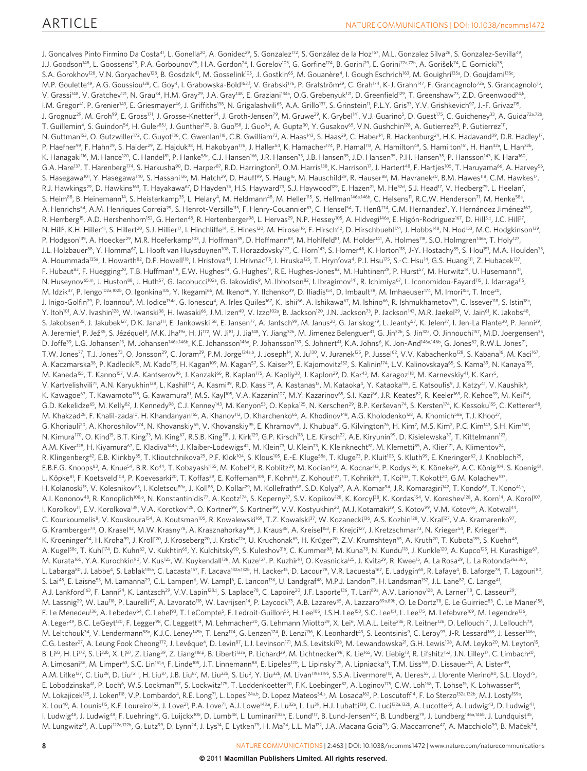J. Goncalves Pinto Firmino Da Costa<sup>41</sup>, L. Gonella<sup>20</sup>, A. Gonidec<sup>29</sup>, S. Gonzalez<sup>172</sup>, S. González de la Hoz<sup>167</sup>, M.L. Gonzalez Silva<sup>26</sup>, S. Gonzalez-Sevilla<sup>49</sup>, J.J. Goodson<sup>148</sup>, L. Goossens<sup>29</sup>, P.A. Gorbounov<sup>95</sup>, H.A. Gordon<sup>24</sup>, I. Gorelov<sup>103</sup>, G. Gorfine<sup>174</sup>, B. Gorini<sup>29</sup>, E. Gorini<sup>22a,72b</sup>, A. Gorišek<sup>74</sup>, E. Gornicki<sup>38</sup>, S.A. Gorokhov<sup>128</sup>, V.N. Goryachev<sup>128</sup>, B. Gosdzik<sup>41</sup>, M. Gosselink<sup>105</sup>, .I. Gostkin<sup>65</sup>, M. Gouanère<sup>4</sup>, I. Gough Eschrich<sup>163</sup>, M. Gouighri<sup>135a</sup>, D. Goujdami<sup>135c</sup>, M.P. Goulette<sup>49</sup>, A.G. Goussiou<sup>138</sup>, C. Goy<sup>4</sup>, I. Grabowska-Bold<sup>163,f</sup>, V. Grabski<sup>176</sup>, P. Grafström<sup>29</sup>, C. Grah<sup>174</sup>, K-J. Grahn<sup>147</sup>, F. Grancagnolo<sup>172</sup>, S. Grancagnolo<sup>15</sup>, V. Grassi<sup>148</sup>, V. Gratchev<sup>121</sup>, N. Grau<sup>34</sup>, H.M. Gray<sup>29</sup>, J.A. Gray<sup>148</sup>, E. Graziani<sup>134a</sup>, O.G. Grebenyuk<sup>121</sup>, D. Greenfield<sup>129</sup>, T. Greenshaw<sup>73</sup>, Z.D. Greenwood<sup>24k</sup>, I.M. Gregor<sup>41</sup>, P. Grenier<sup>143</sup>, E. Griesmayer<sup>46</sup>, J. Griffiths<sup>138</sup>, N. Grigalashvili<sup>65</sup>, A.A. Grillo<sup>137</sup>, S. Grinstein<sup>11</sup>, P.L.Y. Gris<sup>33</sup>, Y.V. Grishkevich<sup>97</sup>, J.-F. Grivaz<sup>115</sup>, J. Grognuz<sup>29</sup>, M. Groh<sup>99</sup>, E. Gross<sup>171</sup>, J. Grosse-Knetter<sup>54</sup>, J. Groth-Jensen<sup>79</sup>, M. Gruwe<sup>29</sup>, K. Grybel<sup>141</sup>, V.J. Guarino<sup>5</sup>, D. Guest<sup>175</sup>, C. Guicheney<sup>33</sup>, A. Guida<sup>72a,72b</sup>, T. Guillemin<sup>4</sup>, S. Guindon<sup>54</sup>, H. Guler<sup>85,1</sup>, J. Gunther<sup>125</sup>, B. Guo<sup>158</sup>, J. Guo<sup>34</sup>, A. Gupta<sup>30</sup>, Y. Gusakov<sup>65</sup>, V.N. Gushchin<sup>128</sup>, A. Gutierrez<sup>93</sup>, P. Gutierrez<sup>111</sup>, N. Guttman<sup>153</sup>, O. Gutzwiller<sup>172</sup>, C. Guyot<sup>136</sup>, C. Gwenlan<sup>118</sup>, C.B. Gwilliam<sup>73</sup>, A. Haas<sup>143</sup>, S. Haas<sup>29</sup>, C. Haber<sup>14</sup>, R. Hackenburg<sup>24</sup>, H.K. Hadavand<sup>39</sup>, D.R. Hadley<sup>17</sup>, P. Haefner<sup>99</sup>, F. Hahn<sup>29</sup>, S. Haider<sup>29</sup>, Z. Hajduk<sup>38</sup>, H. Hakobyan<sup>176</sup>, J. Haller<sup>54</sup>, K. Hamacher<sup>174</sup>, P. Hamal<sup>113</sup>, A. Hamilton<sup>49</sup>, S. Hamilton<sup>161</sup>, H. Han<sup>32b</sup>, L. Han<sup>32b</sup>, K. Hanagaki<sup>116</sup>, M. Hance<sup>120</sup>, C. Handel<sup>81</sup>, P. Hanke<sup>58a</sup>, C.J. Hansen<sup>166</sup>, J.R. Hansen<sup>35</sup>, J.B. Hansen<sup>35</sup>, J.D. Hansen<sup>35</sup>, P.H. Hansen<sup>35</sup>, P. Hansson<sup>143</sup>, K. Hara<sup>160</sup>, G.A. Hare<sup>137</sup>, T. Harenberg<sup>174</sup>, S. Harkusha<sup>90</sup>, D. Harper<sup>87</sup>, R.D. Harrington<sup>21</sup>, O.M. Harris<sup>138</sup>, K. Harrison<sup>17</sup>, J. Hartert<sup>48</sup>, F. Hartjes<sup>105</sup>, T. Haruyama<sup>66</sup>, A. Harvey<sup>56</sup>, S. Hasegawa<sup>101</sup>, Y. Hasegawa<sup>140</sup>, S. Hassani<sup>136</sup>, M. Hatch<sup>29</sup>, D. Hauff<sup>99</sup>, S. Haug<sup>16</sup>, M. Hauschild<sup>29</sup>, R. Hauser<sup>88</sup>, M. Havranek<sup>20</sup>, B.M. Hawes<sup>118</sup>, C.M. Hawkes<sup>17</sup>, R.J. Hawkings<sup>29</sup>, D. Hawkins<sup>163</sup>, T. Hayakawa<sup>67</sup>, D Hayden<sup>76</sup>, H.S. Hayward<sup>73</sup>, S.J. Haywood<sup>129</sup>, E. Hazen<sup>21</sup>, M. He<sup>32d</sup>, S.J. Head<sup>17</sup>, V. Hedberg<sup>79</sup>, L. Heelan<sup>7</sup>, S. Heim<sup>88</sup>, B. Heinemann<sup>14</sup>, S. Heisterkamp<sup>35</sup>, L. Helary<sup>4</sup>, M. Heldmann<sup>48</sup>, M. Heller<sup>115</sup>, S. Hellman<sup>146a,146b</sup>, C. Helsens<sup>11</sup>, R.C.W. Henderson<sup>71</sup>, M. Henke<sup>58a</sup>, A. Henrichs<sup>54</sup>, A.M. Henriques Correia<sup>29</sup>, S. Henrot-Versille<sup>115</sup>, F. Henry-Couannier<sup>83</sup>, C. Hensel<sup>54</sup>, T. Henß<sup>174</sup>, C.M. Hernandez<sup>7</sup>, Y. Hernández Jiménez<sup>167</sup>, R. Herrberg<sup>15</sup>, A.D. Hershenhorn<sup>152</sup>, G. Herten<sup>48</sup>, R. Hertenberger<sup>98</sup>, L. Hervas<sup>29</sup>, N.P. Hessey<sup>105</sup>, A. Hidvegi<sup>146a</sup>, E. Higón-Rodriguez<sup>167</sup>, D. Hill<sup>5,‡</sup>, J.C. Hill<sup>27</sup>, N. Hill<sup>5</sup>, K.H. Hiller<sup>41</sup>, S. Hillert<sup>20</sup>, S.J. Hillier<sup>17</sup>, I. Hinchliffe<sup>14</sup>, E. Hines<sup>120</sup>, M. Hirose<sup>116</sup>, F. Hirsch<sup>42</sup>, D. Hirschbuehl<sup>174</sup>, J. Hobbs<sup>148</sup>, N. Hod<sup>153</sup>, M.C. Hodgkinson<sup>139</sup>, P. Hodgson<sup>139</sup>, A. Hoecker<sup>29</sup>, M.R. Hoeferkamp<sup>103</sup>, J. Hoffman<sup>39</sup>, D. Hoffmann<sup>83</sup>, M. Hohlfeld<sup>81</sup>, M. Holder<sup>141</sup>, A. Holmes<sup>118</sup>, S.O. Holmgren<sup>146a</sup>, T. Holy<sup>127</sup>, J.L. Holzbauer<sup>88</sup>, Y. Homma<sup>67</sup>, L. Hooft van Huysduynen<sup>108</sup>, T. Horazdovsky<sup>127</sup>, C. Horn<sup>143</sup>, S. Horner<sup>48</sup>, K. Horton<sup>118</sup>, J-Y. Hostachy<sup>55</sup>, S. Hou<sup>151</sup>, M.A. Houlden<sup>73</sup>, A. Hoummada<sup>135a</sup>, J. Howarth<sup>82</sup>, D.F. Howell<sup>118</sup>, I. Hristova<sup>41</sup>, J. Hrivnac<sup>115</sup>, I. Hruska<sup>125</sup>, T. Hryn'ova<sup>4</sup>, P.J. Hsu<sup>175</sup>, S.-C. Hsu<sup>14</sup>, G.S. Huang<sup>111</sup>, Z. Hubacek<sup>127</sup>, F. Hubaut<sup>83</sup>, F. Huegging<sup>20</sup>, T.B. Huffman<sup>18</sup>, E.W. Hughes<sup>34</sup>, G. Hughes<sup>71</sup>, R.E. Hughes-Jones<sup>82</sup>, M. Huhtinen<sup>29</sup>, P. Hurst<sup>57</sup>, M. Hurwitz<sup>14</sup>, U. Husemann<sup>41</sup>, N. Huseynov<sup>65,m</sup>, J. Huston<sup>88</sup>, J. Huth<sup>57</sup>, G. Iacobucci<sup>102a</sup>, G. Iakovidis<sup>9</sup>, M. Ibbotson<sup>82</sup>, I. Ibragimov<sup>141</sup>, R. Ichimiya<sup>67</sup>, L. Iconomidou-Fayard<sup>115</sup>, J. Idarraga<sup>115</sup>, M. Idzik<sup>37</sup>, P. Iengo<sup>102a,102b</sup>, O. Igonkina<sup>105</sup>, Y. Ikegami<sup>66</sup>, M. Ikeno<sup>66</sup>, Y. Ilchenko<sup>39</sup>, D. Iliadis<sup>154</sup>, D. Imbault<sup>78</sup>, M. Imhaeuser<sup>174</sup>, M. Imori<sup>155</sup>, T. Ince<sup>20</sup>, J. Inigo-Golfin<sup>29</sup>, P. Ioannou<sup>8</sup>, M. Iodice<sup>134a</sup>, G. Ionescu<sup>4</sup>, A. Irles Quiles<sup>167</sup>, K. Ishii<sup>66</sup>, A. Ishiixawa<sup>67</sup>, M. Ishino<sup>66</sup>, R. Ishmukhametov<sup>39</sup>, C. Issever<sup>118</sup>, S. Istin<sup>18a</sup>, Y. Itoh<sup>101</sup>, A.V. Ivashin<sup>128</sup>, W. Iwanski<sup>38</sup>, H. Iwasaki<sup>66</sup>, J.M. Izen<sup>40</sup>, V. Izzo<sup>102a</sup>, B. Jackson<sup>120</sup>, J.N. Jackson<sup>73</sup>, P. Jackson<sup>143</sup>, M.R. Jaekel<sup>29</sup>, V. Jain<sup>61</sup>, K. Jakobs<sup>48</sup>, S. Jakobsen<sup>35</sup>, J. Jakubek<sup>127</sup>, D.K. Jana<sup>111</sup>, E. Jankowski<sup>158</sup>, E. Jansen<sup>77</sup>, A. Jantsch<sup>99</sup>, M. Janus<sup>20</sup>, G. Jarlskog<sup>79</sup>, L. Jeanty<sup>57</sup>, K. Jelen<sup>37</sup>, I. Jen-La Plante<sup>30</sup>, P. Jenni<sup>29</sup>, A. Jeremie<sup>4</sup>, P. Jež<sup>35</sup>, S. Jézéquel<sup>4</sup>, M.K. Jha<sup>19a</sup>, H. Ji<sup>172</sup>, W. Ji<sup>81</sup>, J. Jia<sup>148</sup>, Y. Jiang<sup>32b</sup>, M. Jimenez Belenguer<sup>41</sup>, G. Jin<sup>32b</sup>, S. Jin<sup>32a</sup>, O. Jinnouchi<sup>157</sup>, M.D. Joergensen<sup>35</sup>, D. Joffe<sup>39</sup>, L.G. Johansen<sup>13</sup>, M. Johansen<sup>146a,146b</sup>, K.E. Johansson<sup>146a</sup>, P. Johansson<sup>139</sup>, S. Johnert<sup>41</sup>, K.A. Johns<sup>6</sup>, K. Jon-And<sup>146a,146b</sup>, G. Jones<sup>82</sup>, R.W.L. Jones<sup>71</sup>, T.W. Jones<sup>77</sup>, T.J. Jones<sup>73</sup>, O. Jonsson<sup>29</sup>, C. Joram<sup>29</sup>, P.M. Jorge<sup>124a,b</sup>, J. Joseph<sup>14</sup>, X. Ju<sup>130</sup>, V. Juranek<sup>125</sup>, P. Jussel<sup>62</sup>, V.V. Kabachenko<sup>128</sup>, S. Kabana<sup>16</sup>, M. Kaci<sup>167</sup>, A. Kaczmarska<sup>38</sup>, P. Kadlecik<sup>35</sup>, M. Kado<sup>115</sup>, H. Kagan<sup>109</sup>, M. Kagan<sup>57</sup>, S. Kaiser<sup>99</sup>, E. Kajomovitz<sup>152</sup>, S. Kalinin<sup>174</sup>, L.V. Kalinovskaya<sup>65</sup>, S. Kama<sup>39</sup>, N. Kanaya<sup>155</sup>, M. Kaneda<sup>155</sup>, T. Kanno<sup>157</sup>, V.A. Kantserov<sup>96</sup>, J. Kanzaki<sup>66</sup>, B. Kaplan<sup>175</sup>, A. Kapliy<sup>30</sup>, J. Kaplon<sup>29</sup>, D. Kar<sup>43</sup>, M. Karagoz<sup>118</sup>, M. Karnevskiy<sup>41</sup>, K. Karr<sup>5</sup>, V. Kartvelishvili<sup>71</sup>, A.N. Karyukhin<sup>128</sup>, L. Kashif<sup>172</sup>, A. Kasmi<sup>39</sup>, R.D. Kass<sup>109</sup>, A. Kastanas<sup>13</sup>, M. Kataoka<sup>4</sup>, Y. Kataoka<sup>155</sup>, E. Katsoufis<sup>9</sup>, J. Katzy<sup>41</sup>, V. Kaushik<sup>6</sup>, K. Kawagoe67, T. Kawamoto<sup>155</sup>, G. Kawamura<sup>81</sup>, M.S. Kayl<sup>105</sup>, V.A. Kazanin<sup>107</sup>, M.Y. Kazarinov<sup>65</sup>, S.I. Kazi<sup>86</sup>, J.R. Keates<sup>82</sup>, R. Keeler<sup>169</sup>, R. Kehoe<sup>39</sup>, M. Keil<sup>54</sup>, G.D. Kekelidze<sup>65</sup>, M. Kelly<sup>82</sup>, J. Kennedy<sup>98</sup>, C.J. Kenney<sup>143</sup>, M. Kenyon<sup>53</sup>, O. Kepka<sup>125</sup>, N. Kerschen<sup>29</sup>, B.P. Kerševan<sup>74</sup>, S. Kersten<sup>174</sup>, K. Kessoku<sup>155</sup>, C. Ketterer<sup>48</sup>, M. Khakzad<sup>28</sup>, F. Khalil-zada<sup>10</sup>, H. Khandanyan<sup>165</sup>, A. Khanov<sup>112</sup>, D. Kharchenko<sup>65</sup>, A. Khodinov<sup>148</sup>, A.G. Kholodenko<sup>128</sup>, A. Khomich<sup>58a</sup>, T.J. Khoo<sup>27</sup>, G. Khoriauli<sup>20</sup>, A. Khoroshilov<sup>174</sup>, N. Khovanskiy<sup>65</sup>, V. Khovanskiy<sup>95</sup>, E. Khramov<sup>65</sup>, J. Khubua<sup>51</sup>, G. Kilvington<sup>76</sup>, H. Kim<sup>7</sup>, M.S. Kim<sup>2</sup>, P.C. Kim<sup>143</sup>, S.H. Kim<sup>160</sup>, N. Kimura<sup>170</sup>, O. Kind<sup>15</sup>, B.T. King<sup>73</sup>, M. King<sup>67</sup>, R.S.B. King<sup>118</sup>, J. Kirk<sup>129</sup>, G.P. Kirsch<sup>118</sup>, L.E. Kirsch<sup>22</sup>, A.E. Kiryunin<sup>99</sup>, D. Kisielewska<sup>37</sup>, T. Kittelmann<sup>123</sup>, A.M. Kiver<sup>128</sup>, H. Kiyamura<sup>67</sup>, E. Kladiva<sup>144b</sup>, J. Klaiber-Lodewigs<sup>42</sup>, M. Klein<sup>73</sup>, U. Klein<sup>73</sup>, K. Kleinknecht<sup>81</sup>, M. Klemetti<sup>85</sup>, A. Klier<sup>171</sup>, A. Klimentov<sup>24</sup>, R. Klingenberg<sup>42</sup>, E.B. Klinkby<sup>35</sup>, T. Klioutchnikova<sup>29</sup>, P.F. Klok<sup>104</sup>, S. Klous<sup>105</sup>, E.-E. Kluge<sup>58a</sup>, T. Kluge<sup>73</sup>, P. Kluit<sup>105</sup>, S. Kluth<sup>99</sup>, E. Kneringer<sup>62</sup>, J. Knobloch<sup>29</sup>, E.B.F.G. Knoops<sup>83</sup>, A. Knue<sup>54</sup>, B.R. Ko<sup>44</sup>, T. Kobayashi<sup>155</sup>, M. Kobel<sup>43</sup>, B. Koblitz<sup>29</sup>, M. Kocian<sup>143</sup>, A. Kocnar<sup>113</sup>, P. Kodys<sup>126</sup>, K. Köneke<sup>29</sup>, A.C. König<sup>104</sup>, S. Koenig<sup>81</sup>, L. Köpke<sup>81</sup>, F. Koetsveld<sup>104</sup>, P. Koevesarki<sup>20</sup>, T. Koffas<sup>29</sup>, E. Koffeman<sup>105</sup>, F. Kohn<sup>54</sup>, Z. Kohout<sup>127</sup>, T. Kohriki<sup>66</sup>, T. Koi<sup>143</sup>, T. Kokott<sup>20</sup>, G.M. Kolachev<sup>107</sup>, H. Kolanoski<sup>15</sup>, V. Kolesnikov<sup>65</sup>, I. Koletsou<sup>89a</sup>, J. Koll<sup>88</sup>, D. Kollar<sup>29</sup>, M. Kollefrath<sup>48</sup>, S.D. Kolya<sup>82</sup>, A.A. Komar<sup>94</sup>, J.R. Komaragiri<sup>142</sup>, T. Kondo<sup>66</sup>, T. Kono<sup>41,n</sup>, A.I. Kononov<sup>48</sup>, R. Konoplich<sup>108,o</sup>, N. Konstantinidis<sup>77</sup>, A. Kootz<sup>174</sup>, S. Koperny<sup>37</sup>, S.V. Kopikov<sup>128</sup>, K. Korcyl<sup>38</sup>, K. Kordas<sup>154</sup>, V. Koreshev<sup>128</sup>, A. Korn<sup>14</sup>, A. Korol<sup>107</sup>, I. Korolkov<sup>11</sup>, E.V. Korolkova<sup>139</sup>, V.A. Korotkov<sup>128</sup>, O. Kortner<sup>99</sup>, S. Kortner<sup>99</sup>, V.V. Kostyukhin<sup>20</sup>, M.J. Kotamäki<sup>29</sup>, S. Kotov<sup>99</sup>, V.M. Kotov<sup>65</sup>, A. Kotwal<sup>44</sup>, C. Kourkoumelis<sup>8</sup>, V. Kouskoura<sup>154</sup>, A. Koutsman<sup>105</sup>, R. Kowalewski<sup>169</sup>, T.Z. Kowalski<sup>37</sup>, W. Kozanecki<sup>136</sup>, A.S. Kozhin<sup>128</sup>, V. Kral<sup>127</sup>, V.A. Kramarenko<sup>97</sup>, G. Kramberger<sup>74</sup>, O. Krasel<sup>42</sup>, M.W. Krasny<sup>78</sup>, A. Krasznahorkay<sup>108</sup>, J. Kraus<sup>88</sup>, A. Kreisel<sup>153</sup>, F. Kreici<sup>127</sup>, J. Kretzschmar<sup>73</sup>, N. Krieger<sup>54</sup>, P. Krieger<sup>158</sup>, K. Kroeninger<sup>54</sup>, H. Kroha<sup>99</sup>, J. Kroll<sup>120</sup>, J. Kroseberg<sup>20</sup>, J. Krstic<sup>12a</sup>, U. Kruchonak<sup>65</sup>, H. Krüger<sup>20</sup>, Z.V. Krumshteyn<sup>65</sup>, A. Kruth<sup>20</sup>, T. Kubota<sup>155</sup>, S. Kuehn<sup>48</sup>, A. Kugel<sup>58c</sup>, T. Kuhl<sup>174</sup>, D. Kuhn<sup>62</sup>, V. Kukhtin<sup>65</sup>, Y. Kulchitsky<sup>90</sup>, S. Kuleshov<sup>31b</sup>, C. Kummer<sup>98</sup>, M. Kuna<sup>78</sup>, N. Kundu<sup>118</sup>, J. Kunkle<sup>120</sup>, A. Kupco<sup>125</sup>, H. Kurashige<sup>67</sup>, M. Kurata<sup>160</sup>, Y.A. Kurochkin<sup>90</sup>, V. Kus<sup>125</sup>, W. Kuykendall<sup>138</sup>, M. Kuze<sup>157</sup>, P. Kuzhir<sup>91</sup>, O. Kvasnicka<sup>125</sup>, J. Kvita<sup>29</sup>, R. Kwee<sup>15</sup>, A. La Rosa<sup>29</sup>, L. La Rotonda<sup>36a,36b</sup>, L. Labarga<sup>80</sup>, J. Labbe<sup>4</sup>, S. Lablak<sup>135a</sup>, C. Lacasta<sup>167</sup>, F. Lacava<sup>132a,132b</sup>, H. Lacker<sup>15</sup>, D. Lacour<sup>78</sup>, V.R. Lacuesta<sup>167</sup>, E. Ladygin<sup>65</sup>, R. Lafaye<sup>4</sup>, B. Laforge<sup>78</sup>, T. Lagouri<sup>80</sup>, S. Lai<sup>48</sup>, E. Laisne<sup>55</sup>, M. Lamanna<sup>29</sup>, C.L. Lampen<sup>6</sup>, W. Lampl<sup>6</sup>, E. Lancon<sup>136</sup>, U. Landgraf<sup>48</sup>, M.P.J. Landon<sup>75</sup>, H. Landsman<sup>152</sup>, J.L. Lane<sup>82</sup>, C. Lange<sup>41</sup>, A.J. Lankford<sup>163</sup>, F. Lanni<sup>24</sup>, K. Lantzsch<sup>29</sup>, V.V. Lapin<sup>128,‡</sup>, S. Laplace<sup>78</sup>, C. Lapoire<sup>20</sup>, J.F. Laporte<sup>136</sup>, T. Lari<sup>89a</sup>, A.V. Larionov<sup>128</sup>, A. Larner<sup>118</sup>, C. Lasseur<sup>29</sup>, M. Lassnig<sup>29</sup>, W. Lau<sup>118</sup>, P. Laurelli<sup>47</sup>, A. Lavorato<sup>118</sup>, W. Lavrijsen<sup>14</sup>, P. Laycock<sup>73</sup>, A.B. Lazarev<sup>65</sup>, A. Lazzaro<sup>89a,89b</sup>, O. Le Dortz<sup>78</sup>, E. Le Guirriec<sup>83</sup>, C. Le Maner<sup>158</sup>, E. Le Menedeu<sup>136</sup>, A. Lebedev<sup>64</sup>, C. Lebel<sup>93</sup>, T. LeCompte<sup>5</sup>, F. Ledroit-Guillon<sup>55</sup>, H. Lee<sup>105</sup>, J.S.H. Lee<sup>150</sup>, S.C. Lee<sup>151</sup>, L. Lee<sup>175</sup>, M. Lefebvre<sup>169</sup>, M. Legendre<sup>136</sup>, A. Leger<sup>49</sup>, B.C. LeGeyt<sup>120</sup>, F. Legger<sup>98</sup>, C. Leggett<sup>14</sup>, M. Lehmacher<sup>20</sup>, G. Lehmann Miotto<sup>29</sup>, X. Lei<sup>6</sup>, M.A.L. Leite<sup>23b</sup>, R. Leitner<sup>126</sup>, D. Lellouch<sup>171</sup>, J. Lellouch<sup>78</sup>, M. LeItchouk34, V. Lendermann<sup>58a</sup>, K.J.C. Leney<sup>145b</sup>, T. Lenz<sup>174</sup>, G. Lenzen<sup>174</sup>, B. Lenzi<sup>136</sup>, K. Leonhardt<sup>43</sup>, S. Leontsinis<sup>9</sup>, C. Leroy<sup>93</sup>, J-R. Lessard<sup>169</sup>, J. Lesser<sup>146a</sup>, C.G. Lester<sup>27</sup>, A. Leung Fook Cheong<sup>172</sup>, J. Levêque<sup>4</sup>, D. Levin<sup>87</sup>, L.J. Levinson<sup>171</sup>, M.S. Levitski<sup>128</sup>, M. Lewandowska<sup>21</sup>, G.H. Lewis<sup>108</sup>, A.M. Leyko<sup>20</sup>, M. Leyton<sup>15</sup>, B. Li<sup>83</sup>, H. Li<sup>172</sup>, S. Li<sup>32b</sup>, X. Li<sup>87</sup>, Z. Liang<sup>39</sup>, Z. Liang<sup>118,p</sup>, B. Liberti<sup>133a</sup>, P. Lichard<sup>29</sup>, M. Lichtnecker<sup>98</sup>, K. Lie<sup>165</sup>, W. Liebig<sup>13</sup>, R. Lifshitz<sup>152</sup>, J.N. Lilley<sup>17</sup>, C. Limbach<sup>20</sup>, A. Limosani<sup>86</sup>, M. Limper<sup>63</sup>, S.C. Lin<sup>151,q</sup>, F. Linde<sup>105</sup>, J.T. Linnemann<sup>88</sup>, E. Lipeles<sup>120</sup>, L. Lipinsky<sup>125</sup>, A. Lipniacka<sup>13</sup>, T.M. Liss<sup>165</sup>, D. Lissauer<sup>24</sup>, A. Lister<sup>49</sup>, A.M. Litke<sup>137</sup>, C. Liu<sup>28</sup>, D. Liu<sup>151,</sup>, H. Liu<sup>87</sup>, J.B. Liu<sup>87</sup>, M. Liu<sup>32b</sup>, S. Liu<sup>32</sup>, S. Liu<sup>32</sup>, M. Livan<sup>119a,119b, S.S.A. Livermore<sup>118</sup>, A. Lleres<sup>55</sup>, J. Llorente Merino<sup>80</sup>, S.L. Lloyd<sup>75</sup>,</sup> E. Lobodzinska<sup>41</sup>, P. Loch<sup>6</sup>, W.S. Lockman<sup>137</sup>, S. Lockwitz<sup>175</sup>, T. Loddenkoetter<sup>20</sup>, F.K. Loebinger<sup>82</sup>, A. Loginov<sup>175</sup>, C.W. Loh<sup>168</sup>, T. Lohse<sup>15</sup>, K. Lohwasser<sup>48</sup>, M. Lokajicek<sup>125</sup>, J. Loken<sup>118</sup>, V.P. Lombardo<sup>4</sup>, R.E. Long<sup>71</sup>, L. Lopes<sup>124a,b</sup>, D. Lopez Mateos<sup>34,s</sup>, M. Losada<sup>162</sup>, P. Loscutoff<sup>14</sup>, F. Lo Sterzo<sup>132a,132b</sup>, M.J. Losty<sup>159a</sup>, X. Lou<sup>40</sup>, A. Lounis<sup>115</sup>, K.F. Loureiro<sup>162</sup>, J. Love<sup>21</sup>, P.A. Love<sup>71</sup>, A.J. Lowe<sup>143,e</sup>, F. Lu<sup>32</sup>, L. Lu<sup>32</sup>, H.J. Lubatti<sup>138</sup>, C. Luci<sup>132a, 132b, A. Lucotte<sup>55</sup>, A. Ludwig<sup>43</sup>, D. Ludwig<sup>41</sup>,</sup> I. Ludwig<sup>48</sup>, J. Ludwig<sup>48</sup>, F. Luehring<sup>61</sup>, G. Luijckx<sup>105</sup>, D. Lumb<sup>48</sup>, L. Luminari<sup>132a</sup>, E. Lund<sup>117</sup>, B. Lund-Jensen<sup>147</sup>, B. Lundberg<sup>79</sup>, J. Lundberg<sup>146a,146b</sup>, J. Lundquist<sup>35</sup>, M. Lungwitz<sup>81</sup>, A. Lupi<sup>122a,122b, G. Lutz<sup>99</sup>, D. Lynn<sup>24</sup>, J. Lys<sup>14</sup>, E. Lytken<sup>79</sup>, H. Ma<sup>24</sup>, L.L. Ma<sup>172</sup>, J.A. Macana Goia<sup>93</sup>, G. Maccarrone<sup>47</sup>, A. Macchiolo<sup>99</sup>, B. Maček<sup>74</sup>,</sup>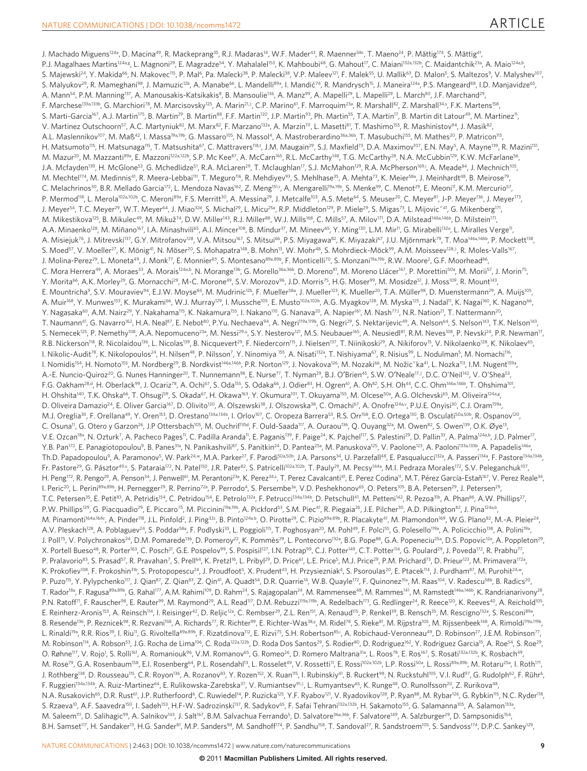J. Machado Miguens<sup>124a</sup>, D. Macina<sup>49</sup>, R. Mackeprang<sup>35</sup>, R.J. Madaras<sup>14</sup>, W.F. Mader<sup>43</sup>, R. Maenner<sup>58c</sup>, T. Maeno<sup>24</sup>, P. Mättig<sup>174</sup>, S. Mättig<sup>11</sup>, P.J. Magalhaes Martins<sup>124a,g</sup>, L. Magnoni<sup>29</sup>, E. Magradze<sup>54</sup>, Y. Mahalalel<sup>153</sup>, K. Mahboubi<sup>48</sup>, G. Mahout<sup>17</sup>, C. Maiani<sup>132a,132b, C. Maidantchik<sup>23a</sup>, A. Maio<sup>124a,b</sup>,</sup> S. Majewski<sup>24</sup>, Y. Makida<sup>66</sup>, N. Makovec<sup>115</sup>, P. Mal<sup>6</sup>, Pa. Malecki<sup>38</sup>, P. Malecki<sup>38</sup>, V.P. Maleev<sup>121</sup>, F. Malek<sup>55</sup>, U. Mallik<sup>63</sup>, D. Malon<sup>5</sup>, S. Maltezos<sup>9</sup>, V. Malyshev<sup>107</sup>, S. Malyukov<sup>29</sup>, R. Mameghani<sup>98</sup>, J. Mamuzic<sup>12b</sup>, A. Manabe<sup>66</sup>, L. Mandelli<sup>89a</sup>, I. Mandić<sup>74</sup>, R. Mandrysch<sup>15</sup>, J. Maneira<sup>124a</sup>, P.S. Mangeard<sup>88</sup>, I.D. Manjavidze<sup>65</sup>, A. Mann<sup>54</sup>, P.M. Manning<sup>137</sup>, A. Manousakis-Katsikakis<sup>8</sup>, B. Mansoulie<sup>136</sup>, A. Manz<sup>99</sup>, A. Mapelli<sup>29</sup>, L. Mapelli<sup>29</sup>, L. March<sup>80</sup>, J.F. Marchand<sup>29</sup>, F. Marchese<sup>133a,133b</sup>, G. Marchiori<sup>78</sup>, M. Marcisovsky<sup>125</sup>, A. Marin<sup>21,‡</sup>, C.P. Marino<sup>61</sup>, F. Marroquim<sup>23a</sup>, R. Marshall<sup>82</sup>, Z. Marshall<sup>34,5</sup>, F.K. Martens<sup>158</sup>, S. Marti-Garcia<sup>167</sup>, A.J. Martin<sup>175</sup>, B. Martin<sup>29</sup>, B. Martin<sup>88</sup>, F.F. Martin<sup>20</sup>, J.P. Martin<sup>93</sup>, Ph. Martin<sup>55</sup>, T.A. Martin<sup>17</sup>, B. Martin dit Latour<sup>49</sup>, M. Martinez<sup>11</sup>, V. Martinez Outschoorn<sup>57</sup>, A.C. Martyniuk<sup>82</sup>, M. Marx<sup>82</sup>, F. Marzano<sup>132a</sup>, A. Marzin<sup>111</sup>, L. Masetti<sup>81</sup>, T. Mashimo<sup>155</sup>, R. Mashinistov<sup>94</sup>, J. Masik<sup>82</sup>, A.L. Maslennikov<sup>107</sup>, M. Maß<sup>42</sup>, I. Massa<sup>19a,19b</sup>, G. Massaro<sup>105</sup>, N. Massol<sup>4</sup>, A. Mastroberardino<sup>36a,36b</sup>, T. Masubuchi<sup>155</sup>, M. Mathes<sup>20</sup>, P. Matricon<sup>115</sup>, H. Matsumoto<sup>115</sup>, H. Matsunaga<sup>115</sup>, T. Matsushita<sup>67</sup>, C. Mattravers<sup>118,t</sup>, J.M. Maugain<sup>29</sup>, S.J. Maxfield<sup>73</sup>, D.A. Maximov<sup>107</sup>, E.N. May<sup>5</sup>, A. Mayne<sup>139</sup>, R. Mazini<sup>151</sup>, M. Mazur<sup>20</sup>, M. Mazzanti<sup>89a</sup>, E. Mazzoni<sup>122a,122b</sup>, S.P. Mc Kee<sup>87</sup>, A. McCarn<sup>165</sup>, R.L. McCarthy<sup>148</sup>, T.G. McCarthy<sup>28</sup>, N.A. McCubbin<sup>129</sup>, K.W. McFarlane<sup>56</sup>, J.A. Mcfayden<sup>139</sup>, H. McGlone<sup>53</sup>, G. Mchedlidze<sup>51</sup>, R.A. McLaren<sup>29</sup>, T. Mclaughlan<sup>17</sup>, S.J. McMahon<sup>129</sup>, R.A. McPherson<sup>169,i</sup>, A. Meade<sup>84</sup>, J. Mechnich<sup>105</sup>, M. Mechtel<sup>174</sup>, M. Medinnis<sup>41</sup>, R. Meera-Lebbai<sup>111</sup>, T. Meguro<sup>116</sup>, R. Mehdiyev<sup>93</sup>, S. Mehlhase<sup>35</sup>, A. Mehta<sup>73</sup>, K. Meier<sup>58a</sup>, J. Meinhardt<sup>48</sup>, B. Meirose<sup>79</sup>, C. Melachrinos<sup>30</sup>, B.R. Mellado Garcia<sup>172</sup>, L. Mendoza Navas<sup>162</sup>, Z. Meng<sup>151,</sup>r, A. Mengarelli<sup>19a,19b</sup>, S. Menke<sup>99</sup>, C. Menot<sup>29</sup>, E. Meoni<sup>11</sup>, K.M. Mercurio<sup>57</sup>, P. Mermod<sup>118</sup>, L. Merola<sup>102a,102b</sup>, C. Meroni<sup>89a</sup>, F.S. Merritt<sup>30</sup>, A. Messina<sup>29</sup>, J. Metcalfe<sup>103</sup>, A.S. Mete<sup>64</sup>, S. Meuser<sup>20</sup>, C. Meyer<sup>81</sup>, J-P. Meyer<sup>136</sup>, J. Meyer<sup>173</sup>, J. Meyer<sup>54</sup>, T.C. Meyer<sup>29</sup>, W.T. Meyer<sup>64</sup>, J. Miao<sup>32d</sup>, S. Michal<sup>29</sup>, L. Micu<sup>25a</sup>, R.P. Middleton<sup>129</sup>, P. Miele<sup>29</sup>, S. Migas<sup>73</sup>, L. Mijovic<sup>~41</sup>, G. Mikenberg<sup>171</sup>, M. Mikestikova<sup>125</sup>, B. Mikulec<sup>49</sup>, M. Mikuž<sup>74</sup>, D.W. Miller<sup>143</sup>, R.J. Miller<sup>88</sup>, W.J. Mills<sup>168</sup>, C. Mills<sup>57</sup>, A. Milov<sup>171</sup>, D.A. Milstead<sup>146a,146b</sup>, D. Milstein<sup>171</sup>, A.A. Minaenko<sup>128</sup>, M. Miñano<sup>167</sup>, I.A. Minashvili<sup>65</sup>, A.I. Mincer<sup>108</sup>, B. Mindur<sup>37</sup>, M. Mineev<sup>65</sup>, Y. Ming<sup>130</sup>, L.M. Mir<sup>11</sup>, G. Mirabelli<sup>132a</sup>, L. Miralles Verge<sup>11</sup>, A. Misiejuk<sup>76</sup>, J. Mitrevski<sup>137</sup>, G.Y. Mitrofanov<sup>128</sup>, V.A. Mitsou<sup>167</sup>, S. Mitsui<sup>66</sup>, P.S. Miyagawa<sup>82</sup>, K. Miyazaki<sup>67</sup>, J.U. Mjörnmark<sup>79</sup>, T. Moa<sup>146a,146b</sup>, P. Mockett<sup>138</sup>, S. Moed<sup>57</sup>, V. Moeller<sup>27</sup>, K. Mönig<sup>41</sup>, N. Möser<sup>20</sup>, S. Mohapatra<sup>148</sup>, B. Mohn<sup>13</sup>, W. Mohr<sup>48</sup>, S. Mohrdieck-Möck<sup>99</sup>, A.M. Moisseev<sup>128,‡</sup>, R. Moles-Valls<sup>167</sup>, J. Molina-Perez<sup>29</sup>, L. Moneta<sup>49</sup>, J. Monk<sup>77</sup>, E. Monnier<sup>83</sup>, S. Montesano<sup>89a,89b</sup>, F. Monticelli<sup>70</sup>, S. Monzani<sup>19a,19b</sup>, R.W. Moore<sup>2</sup>, G.F. Moorhead<sup>86</sup>, C. Mora Herrera<sup>49</sup>, A. Moraes<sup>53</sup>, A. Morais<sup>124a,b</sup>, N. Morange<sup>136</sup>, G. Morello<sup>36a,36b</sup>, D. Moreno<sup>81</sup>, M. Moreno Llácer<sup>167</sup>, P. Morettini<sup>50a</sup>, M. Morii<sup>57</sup>, J. Morin<sup>75</sup>, Y. Morita<sup>66</sup>, A.K. Morley<sup>29</sup>, G. Mornacchi<sup>29</sup>, M-C. Morone<sup>49</sup>, S.V. Morozov<sup>96</sup>, J.D. Morris<sup>75</sup>, H.G. Moser<sup>99</sup>, M. Mosidze<sup>51</sup>, J. Moss<sup>109</sup>, R. Mount<sup>143</sup>, E. Mountricha<sup>9</sup>, S.V. Mouraviev<sup>94</sup>, E.J.W. Moyse<sup>84</sup>, M. Mudrinic<sup>12b</sup>, F. Mueller<sup>58a</sup>, J. Mueller<sup>123</sup>, K. Mueller<sup>20</sup>, T.A. Müller<sup>98</sup>, D. Muenstermann<sup>29</sup>, A. Muijs<sup>105</sup>, A. Muir<sup>168</sup>, Y. Munwes<sup>153</sup>, K. Murakami<sup>66</sup>, W.J. Murray<sup>129</sup>, I. Mussche<sup>105</sup>, E. Musto<sup>102a,102b</sup>, A.G. Myagkov<sup>128</sup>, M. Myska<sup>125</sup>, J. Nadal<sup>11</sup>, K. Nagai1<sup>60</sup>, K. Nagano<sup>66</sup>, Y. Nagasaka<sup>60</sup>, A.M. Nairz<sup>29</sup>, Y. Nakahama<sup>115</sup>, K. Nakamura<sup>155</sup>, I. Nakano<sup>110</sup>, G. Nanava<sup>20</sup>, A. Napier<sup>161</sup>, M. Nash<sup>77,t</sup>, N.R. Nation<sup>21</sup>, T. Nattermann<sup>20</sup>, T. Naumann<sup>41</sup>, G. Navarro<sup>162</sup>, H.A. Neal<sup>87</sup>, E. Nebot<sup>80</sup>, P.Yu. Nechaeva<sup>94</sup>, A. Negri<sup>119</sup>a,<sup>119b</sup>, G. Negri<sup>29</sup>, S. Nektarijevic<sup>49</sup>, A. Nelson<sup>64</sup>, S. Nelson<sup>143</sup>, T.K. Nelson<sup>143</sup>, S. Nemecek<sup>125</sup>, P. Nemethy<sup>108</sup>, A.A. Nepomuceno<sup>23a</sup>, M. Nessi<sup>29,u</sup>, S.Y. Nesterov<sup>121</sup>, M.S. Neubauer<sup>165</sup>, A. Neusiedl<sup>81</sup>, R.M. Neves<sup>108</sup>, P. Nevski<sup>24</sup>, P.R. Newman<sup>17</sup>, R.B. Nickerson<sup>118</sup>, R. Nicolaidou<sup>136</sup>, L. Nicolas<sup>139</sup>, B. Nicquevert<sup>29</sup>, F. Niedercorn<sup>115</sup>, J. Nielsen<sup>137</sup>, T. Niinikoski<sup>29</sup>, A. Nikiforov<sup>15</sup>, V. Nikolaenko<sup>128</sup>, K. Nikolaev<sup>65</sup>, l. Nikolic-Audit<sup>78</sup>, K. Nikolopoulos<sup>24</sup>, H. Nilsen<sup>48</sup>, P. Nilsson<sup>7</sup>, Y. Ninomiya <sup>155</sup>, A. Nisati<sup>132a</sup>, T. Nishiyama<sup>67</sup>, R. Nisius<sup>99</sup>, L. Nodulman<sup>5</sup>, M. Nomachi<sup>116</sup>, I. Nomidis<sup>154</sup>, H. Nomoto<sup>155</sup>, M. Nordberg<sup>29</sup>, B. Nordkvist<sup>146a,146b</sup>, P.R. Norton<sup>129</sup>, J. Novakova<sup>126</sup>, M. Nozaki<sup>66</sup>, M. Nožic~ka<sup>41</sup>, L. Nozka<sup>113</sup>, I.M. Nugent<sup>159a</sup>, A.-E. Nuncio-Quiroz<sup>20</sup>, G. Nunes Hanninger<sup>20</sup>, T. Nunnemann<sup>98</sup>, E. Nurse<sup>77</sup>, T. Nyman<sup>29</sup>, B.J. O'Brien<sup>45</sup>, S.W. O'Neale<sup>17,#</sup>, D.C. O'Neil<sup>142</sup>, V. O'Shea<sup>53</sup>, F.G. Oakham<sup>28,d</sup>, H. Oberlack<sup>99</sup>, J. Ocariz<sup>78</sup>, A. Ochi<sup>67</sup>, S. Oda<sup>155</sup>, S. Odaka<sup>66</sup>, J. Odier<sup>83</sup>, H. Ogren<sup>61</sup>, A. Oh<sup>82</sup>, S.H. Oh<sup>44</sup>, C.C. Ohm<sup>146a,146b</sup>, T. Ohshima<sup>101</sup>, H. Ohshita<sup>140</sup>, T.K. Ohska<sup>66</sup>, T. Ohsugi<sup>59</sup>, S. Okada<sup>67</sup>, H. Okawa<sup>163</sup>, Y. Okumura<sup>101</sup>, T. Okuyama<sup>155</sup>, M. Olcese<sup>50a</sup>, A.G. Olchevski<sup>65</sup>, M. Oliveira<sup>124a,g</sup>, D. Oliveira Damazio<sup>24</sup>, E. Oliver Garcia<sup>167</sup>, D. Olivito<sup>120</sup>, A. Olszewski<sup>38</sup>, J. Olszowska<sup>38</sup>, C. Omachi<sup>67</sup>, A. Onofre<sup>124a,v</sup>, P.U.E. Onyisi<sup>30</sup>, C.J. Oram<sup>159a</sup>, M.J. Oreglia<sup>30</sup>, F. Orellana<sup>49</sup>, Y. Oren<sup>153</sup>, D. Orestano<sup>134a,134b</sup>, I. Orlov<sup>107</sup>, C. Oropeza Barrera<sup>53</sup>, R.S. Orr<sup>158</sup>, E.O. Ortega<sup>130</sup>, B. Osculati<sup>50a,50b</sup>, R. Ospanov<sup>120</sup>, C. Osuna<sup>11</sup>, G. Otero y Garzon<sup>26</sup>, J.P Ottersbach<sup>105</sup>, M. Ouchrif<sup>135d</sup>, F. Ould-Saada<sup>117</sup>, A. Ouraou<sup>136</sup>, Q. Ouyang<sup>32a</sup>, M. Owen<sup>82</sup>, S. Owen<sup>139</sup>, O.K. Øye<sup>13</sup>, V.E. Ozcan<sup>18a</sup>, N. Ozturk<sup>7</sup>, A. Pacheco Pages<sup>11</sup>, C. Padilla Aranda<sup>11</sup>, E. Paganis<sup>139</sup>, F. Paige<sup>24</sup>, K. Pajchel<sup>117</sup>, S. Palestini<sup>29</sup>, D. Pallin<sup>33</sup>, A. Palma<sup>124ab</sup>, J.D. Palmer<sup>17</sup>, Y.B. Pan<sup>172</sup>, E. Panagiotopoulou<sup>9</sup>, B. Panes<sup>31a</sup>, N. Panikashvili<sup>87</sup>, S. Panitkin<sup>24</sup>, D. Pantea<sup>25a</sup>, M. Panuskova<sup>125</sup>, V. Paolone<sup>123</sup>, A. Paoloni<sup>133a,133b</sup>, A. Papadelis<sup>146a</sup>, Th.D. Papadopoulou<sup>9</sup>, A. Paramonov<sup>5</sup>, W. Park<sup>24,w</sup>, M.A. Parker<sup>27</sup>, F. Parodi<sup>50a,50b</sup>, J.A. Parsons<sup>34</sup>, U. Parzefall<sup>48</sup>, E. Pasqualucci<sup>132a</sup>, A. Passeri<sup>134a</sup>, F. Pastore<sup>134a,134b</sup>, Fr. Pastore<sup>29</sup>, G. Pásztor<sup>49,x</sup>, S. Pataraia<sup>172</sup>, N. Patel<sup>150</sup>, J.R. Pater<sup>82</sup>, S. Patricelli<sup>102</sup>a,<sup>102b</sup>, T. Pauly<sup>29</sup>, M. Pecsy<sup>144a</sup>, M.I. Pedraza Morales<sup>172</sup>, S.V. Peleganchuk<sup>107</sup>, H. Peng<sup>172</sup>, R. Pengo<sup>29</sup>, A. Penson<sup>34</sup>, J. Penwell<sup>61</sup>, M. Perantoni<sup>23a</sup>, K. Perez<sup>34,s</sup>, T. Perez Cavalcanti<sup>41</sup>, E. Perez Codina<sup>11</sup>, M.T. Pérez García-Estañ<sup>167</sup>, V. Perez Reale<sup>34</sup>, I. Peric<sup>20</sup>, L. Perini<sup>89a,89b</sup>, H. Pernegger<sup>29</sup>, R. Perrino<sup>72a</sup>, P. Perrodo<sup>4</sup>, S. Persembe<sup>3a</sup>, V.D. Peshekhonov<sup>65</sup>, O. Peters<sup>105</sup>, B.A. Petersen<sup>29</sup>, J. Petersen<sup>29</sup>, T.C. Petersen<sup>35</sup>, E. Petit<sup>83</sup>, A. Petridis<sup>154</sup>, C. Petridou<sup>154</sup>, E. Petrolo<sup>132a</sup>, F. Petrucci<sup>134a,134b</sup>, D. Petschull<sup>41</sup>, M. Petteni<sup>142</sup>, R. Pezoa<sup>31b</sup>, A. Phan<sup>86</sup>, A.W. Phillips<sup>27</sup>, P.W. Phillips<sup>129</sup>, G. Piacquadio<sup>29</sup>, E. Piccaro<sup>75</sup>, M. Piccinini<sup>19a,19b</sup>, A. Pickford<sup>53</sup>, S.M. Piec<sup>41</sup>, R. Piegaia<sup>26</sup>, J.E. Pilcher<sup>30</sup>, A.D. Pilkington<sup>82</sup>, J. Pina<sup>124a,b</sup>, M. Pinamonti<sup>164a,164c</sup>, A. Pinder<sup>118</sup>, J.L. Pinfold<sup>2</sup>, J. Ping<sup>32c</sup>, B. Pinto<sup>124a,b</sup>, O. Pirotte<sup>29</sup>, C. Pizio<sup>89a,89b</sup>, R. Placakyte<sup>41</sup>, M. Plamondon<sup>169</sup>, W.G. Plano<sup>82</sup>, M.-A. Pleier<sup>24</sup>, A.V. Pleskach<sup>128</sup>, A. Poblaguev<sup>24</sup>, S. Poddar<sup>58a</sup>, F. Podlyski<sup>33</sup>, L. Poggioli<sup>115</sup>, T. Poghosyan<sup>20</sup>, M. Pohl<sup>49</sup>, F. Polci<sup>55</sup>, G. Polesello<sup>119a</sup>, A. Policicchio<sup>138</sup>, A. Polini<sup>19a</sup>, J. Poll<sup>75</sup>, V. Polychronakos<sup>24</sup>, D.M. Pomarede<sup>136</sup>, D. Pomeroy<sup>22</sup>, K. Pommès<sup>29</sup>, L. Pontecorvo<sup>132a</sup>, B.G. Pope<sup>88</sup>, G.A. Popeneciu<sup>25a</sup>, D.S. Popovic<sup>12a</sup>, A. Poppleton<sup>29</sup>, X. Portell Bueso<sup>48</sup>, R. Porter<sup>163</sup>, C. Posch<sup>21</sup>, G.E. Pospelov<sup>99</sup>, S. Pospisil<sup>127</sup>, I.N. Potrap<sup>99</sup>, C.J. Potter<sup>149</sup>, C.T. Potter<sup>114</sup>, G. Poulard<sup>29</sup>, J. Poveda<sup>172</sup>, R. Prabhu<sup>77</sup>, P. Pralavorio<sup>83</sup>, S. Prasad<sup>57</sup>, R. Pravahan<sup>7</sup>, S. Prell<sup>64</sup>, K. Pretzl<sup>16</sup>, L. Pribyl<sup>29</sup>, D. Price<sup>61</sup>, L.E. Price<sup>5</sup>, M.J. Price<sup>29</sup>, P.M. Prichard<sup>73</sup>, D. Prieur<sup>123</sup>, M. Primavera<sup>172a</sup>, K. Prokofiev<sup>108</sup>, F. Prokoshin<sup>31b</sup>, S. Protopopescu<sup>24</sup>, J. Proudfoot<sup>5</sup>, X. Prudent<sup>43</sup>, H. Przysiezniak<sup>4</sup>, S. Psoroulas<sup>20</sup>, E. Ptacek<sup>114</sup>, J. Purdham<sup>87</sup>, M. Purohit<sup>24,w</sup>, P. Puzo<sup>115</sup>, Y. Pylypchenko<sup>117</sup>, J. Qian<sup>87</sup>, Z. Qian<sup>83</sup>, Z. Qin<sup>41</sup>, A. Quadt<sup>54</sup>, D.R. Quarrie<sup>14</sup>, W.B. Quayle<sup>172</sup>, F. Quinonez<sup>31a</sup>, M. Raas<sup>104</sup>, V. Radescu<sup>58b</sup>, B. Radics<sup>20</sup>, T. Rador<sup>18a</sup>, F. Ragusa<sup>89a,89b</sup>, G. Rahal<sup>177</sup>, A.M. Rahimi<sup>109</sup>, D. Rahm<sup>24</sup>, S. Rajagopalan<sup>24</sup>, M. Rammensee<sup>48</sup>, M. Rammes<sup>141</sup>, M. Ramstedt<sup>146a,146b, K. Randrianarivony<sup>28</sup>,</sup> P.N. Ratoff<sup>71</sup>, F. Rauscher<sup>98</sup>, E. Rauter<sup>99</sup>, M. Raymond<sup>29</sup>, A.L. Read<sup>117</sup>, D.M. Rebuzzi<sup>119a,119b</sup>, A. Redelbach<sup>173</sup>, G. Redlinger<sup>24</sup>, R. Reece<sup>120</sup>, K. Reeves<sup>40</sup>, A. Reichold<sup>105</sup>, E. Reinherz-Aronis<sup>153</sup>, A. Reinsch<sup>114</sup>, I. Reisinger<sup>42</sup>, D. Reljic<sup>12a</sup>, C. Rembser<sup>29</sup>, Z.L. Ren<sup>151</sup>, A. Renaud<sup>115</sup>, P. Renkel<sup>39</sup>, B. Rensch<sup>35</sup>, M. Rescigno<sup>132a</sup>, S. Resconi<sup>89a</sup>, B. Resende<sup>136</sup>, P. Reznicek<sup>98</sup>, R. Rezvani<sup>158</sup>, A. Richards<sup>77</sup>, R. Richter<sup>99</sup>, E. Richter-Was<sup>38,y</sup>, M. Ridel<sup>78</sup>, S. Rieke<sup>81</sup>, M. Rijpstra<sup>105</sup>, M. Rijssenbeek<sup>148</sup>, A. Rimoldi<sup>119a,119b</sup>, L. Rinaldi<sup>19a</sup>, R.R. Rios<sup>39</sup>, I. Riu<sup>11</sup>, G. Rivoltella<sup>89a,89b</sup>, F. Rizatdinova<sup>112</sup>, E. Rizvi<sup>75</sup>, S.H. Robertson<sup>85,i</sup>, A. Robichaud-Veronneau<sup>49</sup>, D. Robinson<sup>27</sup>, J.E.M. Robinson<sup>77</sup>, M. Robinson<sup>114</sup>, A. Robson<sup>53</sup>, J.G. Rocha de Lima<sup>106</sup>, C. Roda<sup>122a,122b</sup>, D. Roda Dos Santos<sup>29</sup>, S. Rodier<sup>80</sup>, D. Rodriguez<sup>162</sup>, Y. Rodriguez Garcia<sup>15</sup>, A. Roe<sup>54</sup>, S. Roe<sup>29</sup>, O. Røhne<sup>117</sup>, V. Rojo<sup>1</sup>, S. Rolli<sup>161</sup>, A. Romaniouk<sup>96</sup>, V.M. Romanov<sup>65</sup>, G. Romeo<sup>26</sup>, D. Romero Maltrana<sup>31a</sup>, L. Roos<sup>78</sup>, E. Ros<sup>167</sup>, S. Rosati<sup>132a,132b,</sup> K. Rosbach<sup>49</sup>, M. Rose<sup>79</sup>, G.A. Rosenbaum<sup>158</sup>, E.I. Rosenberg<sup>64</sup>, P.L. Rosendahl<sup>13</sup>, L. Rosselet<sup>49</sup>, V. Rossetti<sup>11</sup>, E. Rossi<sup>102</sup>a,<sup>102b</sup>, L.P. Rossi<sup>50a</sup>, L. Rossi<sup>89a,89b</sup>, M. Rotaru<sup>25a</sup>, I. Roth<sup>171</sup>, J. Rothberg<sup>138</sup>, D. Rousseau<sup>115</sup>, C.R. Royon<sup>136</sup>, A. Rozanov<sup>83</sup>, Y. Rozen<sup>152</sup>, X. Ruan<sup>115</sup>, I. Rubinskiy<sup>41</sup>, B. Ruckert<sup>98</sup>, N. Ruckstuhl<sup>105</sup>, V.I. Rud<sup>97</sup>, G. Rudolph<sup>62</sup>, F. Rühr<sup>6</sup>, F. Ruggieri<sup>134a,134b</sup>, A. Ruiz-Martinez<sup>64</sup>, E. Rulikowska-Zarebska<sup>37</sup>, V. Rumiantsev<sup>91,‡</sup>, L. Rumyantsev<sup>65</sup>, K. Runge<sup>48</sup>, O. Runolfsson<sup>20</sup>, Z. Rurikova<sup>48</sup>, N.A. Rusakovich<sup>65</sup>, D.R. Rust<sup>61</sup>, J.P. Rutherfoord<sup>6</sup>, C. Ruwiedel<sup>14</sup>, P. Ruzicka<sup>125</sup>, Y.F. Ryabov<sup>121</sup>, V. Ryadovikov<sup>128</sup>, P. Ryan<sup>88</sup>, M. Rybar<sup>126</sup>, G. Rybkin<sup>115</sup>, N.C. Ryder<sup>118</sup>, S. Rzaeva<sup>10</sup>, A.F. Saavedra<sup>150</sup>, I. Sadeh<sup>153</sup>, H.F-W. Sadrozinski<sup>137</sup>, R. Sadykov<sup>65</sup>, F. Safai Tehrani<sup>132a,132b</sup>, H. Sakamoto<sup>155</sup>, G. Salamanna<sup>105</sup>, A. Salamon<sup>133a</sup>, M. Saleem<sup>111</sup>, D. Salihagic<sup>99</sup>, A. Salnikov<sup>143</sup>, J. Salt<sup>167</sup>, B.M. Salvachua Ferrando<sup>5</sup>, D. Salvatore<sup>36a,36b</sup>, F. Salvatore<sup>149</sup>, A. Salzburger<sup>29</sup>, D. Sampsonidis<sup>154</sup>, B.H. Samset<sup>117</sup>, H. Sandaker<sup>13</sup>, H.G. Sander<sup>81</sup>, M.P. Sanders<sup>98</sup>, M. Sandhoff<sup>174</sup>, P. Sandhu<sup>158</sup>, T. Sandoval<sup>27</sup>, R. Sandstroem<sup>105</sup>, S. Sandvoss<sup>174</sup>, D.P.C. Sankey<sup>129</sup>,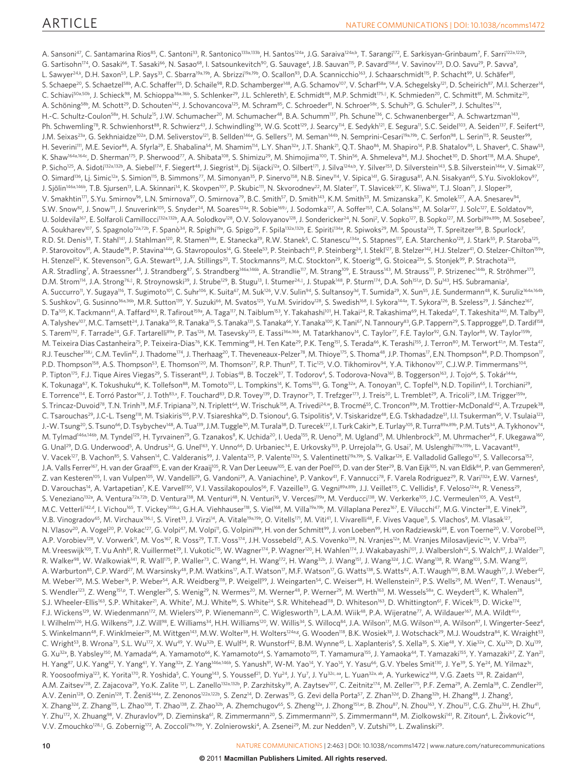A. Sansoni<sup>47</sup>, C. Santamarina Rios<sup>85</sup>, C. Santoni<sup>33</sup>, R. Santonico<sup>133a,133b</sup>, H. Santos<sup>124a</sup>, J.G. Saraiva<sup>124a,b</sup>, T. Sarangi<sup>172</sup>, E. Sarkisyan-Grinbaum<sup>7</sup>, F. Sarri<sup>122a,122b</sup>, G. Sartisohn<sup>174</sup>, O. Sasaki<sup>66</sup>, T. Sasaki<sup>66</sup>, N. Sasao<sup>68</sup>, I. Satsounkevitch<sup>90</sup>, G. Sauvage<sup>4</sup>, J.B. Sauvan<sup>115</sup>, P. Savard<sup>158,d</sup>, V. Savinov<sup>123</sup>, D.O. Savu<sup>29</sup>, P. Savva<sup>9</sup>, L. Sawyer<sup>24,k</sup>, D.H. Saxon<sup>53</sup>, L.P. Says<sup>33</sup>, C. Sbarra<sup>19a,19b</sup>, A. Sbrizzi<sup>19a,19b</sup>, O. Scallon<sup>93</sup>, D.A. Scannicchio<sup>163</sup>, J. Schaarschmidt<sup>115</sup>, P. Schacht<sup>99</sup>, U. Schäfer<sup>81</sup>, S. Schaepe<sup>20</sup>, S. Schaetzel<sup>58b</sup>, A.C. Schaffer<sup>115</sup>, D. Schaile<sup>98</sup>, R.D. Schamberger<sup>148</sup>, A.G. Schamov<sup>107</sup>, V. Scharf<sup>58a</sup>, V.A. Schegelsky<sup>121</sup>, D. Scheirich<sup>87</sup>, M.I. Scherzer<sup>14</sup>, C. Schiavi<sup>50a,50b</sup>, J. Schieck<sup>98</sup>, M. Schioppa<sup>36a,36b</sup>, S. Schlenker<sup>29</sup>, J.L. Schlereth<sup>5</sup>, E. Schmidt<sup>48</sup>, M.P. Schmidt<sup>175,‡</sup>, K. Schmieden<sup>20</sup>, C. Schmitt<sup>81</sup>, M. Schmitz<sup>20</sup>, A. Schöning<sup>58b</sup>, M. Schott<sup>29</sup>, D. Schouten<sup>142</sup>, J. Schovancova<sup>125</sup>, M. Schram<sup>85</sup>, C. Schroeder<sup>81</sup>, N. Schroer<sup>58c</sup>, S. Schuh<sup>29</sup>, G. Schuler<sup>29</sup>, J. Schultes<sup>174</sup>, H.-C. Schultz-Coulon<sup>58a</sup>, H. Schulz<sup>15</sup>, J.W. Schumacher<sup>20</sup>, M. Schumacher<sup>48</sup>, B.A. Schumm<sup>137</sup>, Ph. Schune<sup>136</sup>, C. Schwanenberger<sup>82</sup>, A. Schwartzman<sup>143</sup>, Ph. Schwemling<sup>78</sup>, R. Schwienhorst<sup>88</sup>, R. Schwierz<sup>43</sup>, J. Schwindling<sup>136</sup>, W.G. Scott<sup>129</sup>, J. Searcy<sup>114</sup>, E. Sedykh<sup>121</sup>, E. Segura<sup>11</sup>, S.C. Seidel<sup>103</sup>, A. Seiden<sup>137</sup>, F. Seifert<sup>43</sup>, J.M. Seixas<sup>23a</sup>, G. Sekhniaidze<sup>102a</sup>, D.M. Seliverstov<sup>121</sup>, B. Sellden<sup>146a</sup>, G. Sellers<sup>73</sup>, M. Seman<sup>144b</sup>, N. Semprini-Cesari<sup>19a,19b</sup>, C. Serfon<sup>98</sup>, L. Serin<sup>115</sup>, R. Seuster<sup>99</sup>, H. Severini™, M.E. Sevior<sup>86</sup>, A. Sfyrla<sup>29</sup>, E. Shabalina<sup>54</sup>, M. Shamim™4, L.Y. Shan<sup>32a</sup>, J.T. Shank<sup>21</sup>, Q.T. Shao<sup>86</sup>, M. Shapiro™, P.B. Shatalov<sup>95</sup>, L. Shaver<sup>6</sup>, C. Shaw<sup>53</sup>, K. Shaw<sup>164a,164c</sup>, D. Sherman<sup>175</sup>, P. Sherwood<sup>77</sup>, A. Shibata<sup>108</sup>, S. Shimizu<sup>29</sup>, M. Shimojima<sup>100</sup>, T. Shin<sup>56</sup>, A. Shmeleva<sup>94</sup>, M.J. Shochet<sup>30</sup>, D. Short<sup>118</sup>, M.A. Shupe<sup>6</sup>, P. Sicho<sup>125</sup>, A. Sidoti<sup>132a,132b</sup>, A. Siebel<sup>174</sup>, F. Siegert<sup>48</sup>, J. Siegrist<sup>14</sup>, Dj. Sijacki<sup>12a</sup>, O. Silbert<sup>171</sup>, J. Silva<sup>124a,b</sup>, Y. Silverstein<sup>143</sup>, S.B. Silverstein<sup>146a</sup>, V. Simak<sup>127</sup>, O. Simard<sup>136</sup>, Lj. Simic<sup>12a</sup>, S. Simion<sup>115</sup>, B. Simmons<sup>77</sup>, M. Simonyan<sup>35</sup>, P. Sinervo<sup>158</sup>, N.B. Sinev<sup>114</sup>, V. Sipica<sup>141</sup>, G. Siragusa<sup>81</sup>, A.N. Sisakyan<sup>65</sup>, S.Yu. Sivoklokov<sup>97</sup>, J. Sjölin<sup>146a,146b</sup>, T.B. Sjursen<sup>13</sup>, L.A. Skinnari<sup>14</sup>, K. Skovpen<sup>107</sup>, P. Skubic<sup>111</sup>, N. Skvorodnev<sup>22</sup>, M. Slater<sup>17</sup>, T. Slavicek<sup>127</sup>, K. Sliwa<sup>161</sup>, T.J. Sloan<sup>71</sup>, J. Sloper<sup>29</sup>, V. Smakhtin<sup>171</sup>, S.Yu. Smirnov<sup>96</sup>, L.N. Smirnova<sup>97</sup>, O. Smirnova<sup>79</sup>, B.C. Smith<sup>57</sup>, D. Smith<sup>143</sup>, K.M. Smith<sup>53</sup>, M. Smizanska<sup>71</sup>, K. Smolek<sup>127</sup>, A.A. Snesarev<sup>94</sup>, S.W. Snow<sup>82</sup>, J. Snow<sup>111</sup>, J. Snuverink<sup>105</sup>, S. Snyder<sup>24</sup>, M. Soares<sup>124a</sup>, R. Sobie<sup>169,i</sup>, J. Sodomka<sup>127</sup>, A. Soffer<sup>153</sup>, C.A. Solans<sup>167</sup>, M. Solar<sup>127</sup>, J. Solc<sup>127</sup>, E. Soldatov<sup>96</sup>, U. Soldevila<sup>167</sup>, E. Solfaroli Camillocci<sup>132a,132b</sup>, A.A. Solodkov<sup>128</sup>, O.V. Solovyanov<sup>128</sup>, J. Sondericker<sup>24</sup>, N. Soni<sup>2</sup>, V. Sopko<sup>127</sup>, B. Sopko<sup>127</sup>, M. Sorbi<sup>89a,89b</sup>, M. Sosebee<sup>7</sup>, A. Soukharev<sup>107</sup>, S. Spagnolo<sup>72a,72b</sup>, F. Spanò<sup>34</sup>, R. Spighi<sup>19a</sup>, G. Spigo<sup>29</sup>, F. Spila<sup>132a,132b</sup>, E. Spiriti<sup>134a</sup>, R. Spiwoks<sup>29</sup>, M. Spousta<sup>126</sup>, T. Spreitzer<sup>158</sup>, B. Spurlock<sup>7</sup>, R.D. St. Denis<sup>53</sup>, T. Stahl<sup>141</sup>, J. Stahlman<sup>120</sup>, R. Stamen<sup>58a</sup>, E. Stanecka<sup>29</sup>, R.W. Stanek<sup>5</sup>, C. Stanescu<sup>134a</sup>, S. Stapnes<sup>117</sup>, E.A. Starchenko<sup>128</sup>, J. Stark<sup>55</sup>, P. Staroba<sup>125</sup>, P. Starovoitov<sup>91</sup>, A. Staude<sup>98</sup>, P. Stavina<sup>144a</sup>, G. Stavropoulos<sup>14</sup>, G. Steele<sup>53</sup>, P. Steinbach<sup>43</sup>, P. Steinberg<sup>24</sup>, I. Stekl<sup>127</sup>, B. Stelzer<sup>142</sup>, H.J. Stelzer<sup>41</sup>, O. Stelzer-Chilton<sup>159a</sup>, H. Stenzel<sup>52</sup>, K. Stevenson<sup>75</sup>, G.A. Stewart<sup>53</sup>, J.A. Stillings<sup>20</sup>, T. Stockmanns<sup>20</sup>, M.C. Stockton<sup>29</sup>, K. Stoerig<sup>48</sup>, G. Stoicea<sup>25a</sup>, S. Stonjek<sup>99</sup>, P. Strachota<sup>126</sup>, A.R. Stradling<sup>7</sup>, A. Straessner<sup>43</sup>, J. Strandberg<sup>87</sup>, S. Strandberg<sup>146a,146b</sup>, A. Strandlie<sup>117</sup>, M. Strang<sup>109</sup>, E. Strauss<sup>143</sup>, M. Strauss<sup>111</sup>, P. Strizenec<sup>144b</sup>, R. Ströhmer<sup>173</sup>, D.M. Strom<sup>114</sup>, J.A. Strong<sup>76,‡</sup>, R. Stroynowski<sup>39</sup>, J. Strube<sup>129</sup>, B. Stugu<sup>13</sup>, I. Stumer<sup>24,‡</sup>, J. Stupak<sup>148</sup>, P. Sturm<sup>174</sup>, D.A. Soh<sup>151,p</sup>, D. Su<sup>143</sup>, HS. Subramania<sup>2</sup>, A. Succurro<sup>11</sup>, Y. Sugaya<sup>116</sup>, T. Sugimoto<sup>101</sup>, C. Suhr<sup>106</sup>, K. Suita<sup>67</sup>, M. Suk<sup>126</sup>, V.V. Sulin<sup>94</sup>, S. Sultansoy<sup>3d</sup>, T. Sumida<sup>29</sup>, X. Sun<sup>55</sup>, J.E. Sundermann<sup>48</sup>, K. Suruliz<sup>164a,164b,</sup> S. Sushkov<sup>11</sup>, G. Susinno<sup>36a,36b</sup>, M.R. Sutton<sup>139</sup>, Y. Suzuki<sup>66</sup>, M. Svatos<sup>125</sup>, Yu.M. Sviridov<sup>128</sup>, S. Swedish<sup>168</sup>, I. Sykora<sup>144a</sup>, T. Sykora<sup>126</sup>, B. Szeless<sup>29</sup>, J. Sánchez<sup>167</sup>, D. Ta<sup>105</sup>, K. Tackmann<sup>41</sup>, A. Taffard<sup>163</sup>, R. Tafirout<sup>159a</sup>, A. Taga<sup>117</sup>, N. Taiblum<sup>153</sup>, Y. Takahashi<sup>101</sup>, H. Takai<sup>24</sup>, R. Takashima<sup>69</sup>, H. Takeda<sup>67</sup>, T. Takeshita<sup>140</sup>, M. Talby<sup>83</sup>, A. Talyshev<sup>107</sup>, M.C. Tamsett<sup>24</sup>, J. Tanaka<sup>155</sup>, R. Tanaka<sup>115</sup>, S. Tanaka<sup>131</sup>, S. Tanaka<sup>166</sup>, Y. Tanaka<sup>160</sup>, K. Tanak<sup>a100</sup>, K. Tani6<sup>7</sup>, N. Tannoury<sup>83</sup>, G.P. Tappern<sup>29</sup>, S. Tapprogge<sup>81</sup>, D. Tardif<sup>158</sup>, S. Tarem<sup>152</sup>, F. Tarrade<sup>24</sup>, G.F. Tartarelli<sup>89a</sup>, P. Tas<sup>126</sup>, M. Tasevsky<sup>125</sup>, E. Tassi<sup>36a,36b</sup>, M. Tatarkhanov<sup>14</sup>, C. Taylor<sup>77</sup>, F.E. Taylor<sup>92</sup>, G.N. Taylor<sup>86</sup>, W. Taylor<sup>159b</sup>, M. Teixeira Dias Castanheira<sup>75</sup>, P. Teixeira-Dias<sup>76</sup>, K.K. Temming<sup>48</sup>, H. Ten Kate<sup>29</sup>, P.K. Teng<sup>151</sup>, S. Terada<sup>66</sup>, K. Terashi<sup>155</sup>, J. Terron<sup>80</sup>, M. Terwort<sup>41, n</sup>, M. Testa<sup>47</sup>, R.J. Teuscher<sup>158,i</sup>, C.M. Tevlin<sup>82</sup>, J. Thadome<sup>174</sup>, J. Therhaag<sup>20</sup>, T. Theveneaux-Pelzer<sup>78</sup>, M. Thioye<sup>175</sup>, S. Thoma<sup>48</sup>, J.P. Thomas<sup>17</sup>, E.N. Thompson<sup>84</sup>, P.D. Thompson<sup>17</sup>, P.D. Thompson<sup>158</sup>, A.S. Thompson<sup>53</sup>, E. Thomson<sup>120</sup>, M. Thomson<sup>27</sup>, R.P. Thun<sup>87</sup>, T. Tic<sup>125</sup>, V.O. Tikhomirov<sup>94</sup>, Y.A. Tikhonov<sup>107</sup>, C.J.W.P. Timmermans<sup>104</sup>, P. Tipton<sup>175</sup>, F.J. Tique Aires Viegas<sup>29</sup>, S. Tisserant<sup>83</sup>, J. Tobias<sup>48</sup>, B. Toczek<sup>37</sup>, T. Todorov<sup>4</sup>, S. Todorova-Nova<sup>161</sup>, B. Toggerson<sup>163</sup>, J. Tojo<sup>66</sup>, S. Tokár<sup>144a</sup>, K. Tokunaga<sup>67</sup>, K. Tokushuku<sup>66</sup>, K. Tollefson<sup>88</sup>, M. Tomoto<sup>101</sup>, L. Tompkins<sup>14</sup>, K. Toms<sup>103</sup>, G. Tong<sup>32a</sup>, A. Tonoyan<sup>13</sup>, C. Topfel<sup>16</sup>, N.D. Topilin<sup>65</sup>, I. Torchiani<sup>29</sup>, E. Torrence<sup>114</sup>, E. Torró Pastor<sup>167</sup>, J. Toth<sup>83,x</sup>, F. Touchard<sup>83</sup>, D.R. Tovey<sup>139</sup>, D. Traynor<sup>75</sup>, T. Trefzger<sup>173</sup>, J. Treis<sup>20</sup>, L. Tremblet<sup>29</sup>, A. Tricoli<sup>29</sup>, I.M. Trigger<sup>159a</sup>, S. Trincaz-Duvoid<sup>78</sup>, T.N. Trinh<sup>78</sup>, M.F. Tripiana<sup>70</sup>, N. Triplett<sup>64</sup>, W. Trischuk<sup>158</sup>, A. Trivedi<sup>24</sup>,w, B. Trocmé<sup>55</sup>, C. Troncon<sup>89a</sup>, M. Trottier-McDonald<sup>142</sup>, A. Trzupek<sup>38</sup>, C. Tsarouchas<sup>29</sup>, J.C-L. Tseng<sup>118</sup>, M. Tsiakiris<sup>105</sup>, P.V. Tsiareshka<sup>90</sup>, D. Tsionou<sup>4</sup>, G. Tsipolitis<sup>9</sup>, V. Tsiskaridze<sup>48</sup>, E.G. Tskhadadze<sup>51</sup>, I.I. Tsukerman<sup>95</sup>, V. Tsulaia<sup>123</sup>, J.-W. Tsung<sup>20</sup>, S. Tsuno<sup>66</sup>, D. Tsybychev<sup>148</sup>, A. Tua<sup>139</sup>, J.M. Tuggle<sup>30</sup>, M. Turala<sup>38</sup>, D. Turecek<sup>127</sup>, I. Turk Cakir<sup>3e</sup>, E. Turlay<sup>105</sup>, R. Turra<sup>89a,89b</sup>, P.M. Tuts<sup>34</sup>, A. Tykhonov<sup>74</sup>, M. Tylmad<sup>146a,146b</sup>, M. Tyndel<sup>129</sup>, H. Tyrvainen<sup>29</sup>, G. Tzanakos<sup>8</sup>, K. Uchida<sup>20</sup>, I. Ueda<sup>155</sup>, R. Ueno<sup>28</sup>, M. Ugland<sup>13</sup>, M. Uhlenbrock<sup>20</sup>, M. Uhrmacher<sup>54</sup>, F. Ukegawa<sup>160</sup>, G. Unal<sup>29</sup>, D.G. Underwood<sup>5</sup>, A. Undrus<sup>24</sup>, G. Unel<sup>163</sup>, Y. Unno<sup>66</sup>, D. Urbaniec<sup>34</sup>, E. Urkovsky<sup>153</sup>, P. Urrejola<sup>31a</sup>, G. Usai<sup>7</sup>, M. Uslenghi<sup>119a,119b</sup>, L. Vacavant<sup>83</sup>, V. Vacek<sup>127</sup>, B. Vachon<sup>85</sup>, S. Vahsen<sup>14</sup>, C. Valderanis<sup>99</sup>, J. Valenta<sup>125</sup>, P. Valente<sup>132a</sup>, S. Valentinetti<sup>19a,19b</sup>, S. Valkar<sup>126</sup>, E. Valladolid Gallego<sup>167</sup>, S. Vallecorsa<sup>152</sup>, J.A. Valls Ferrer167, H. van der Graaf105, E. van der Kraaij105, R. Van Der Leeuw105, E. van der Poel105, D. van der Ster29, B. Van Eijk105, N. van Eldik84, P. van Gemmeren5 , Z. van Kesteren<sup>105</sup>, I. van Vulpen<sup>105</sup>, W. Vandelli<sup>29</sup>, G. Vandoni<sup>29</sup>, A. Vaniachine<sup>5</sup>, P. Vankov<sup>41</sup>, F. Vannucci<sup>78</sup>, F. Varela Rodriguez<sup>29</sup>, R. Vari<sup>132a</sup>, E.W. Varnes<sup>6</sup>, D. Varouchas<sup>14</sup>, A. Vartapetian<sup>7</sup>, K.E. Varvell<sup>150</sup>, V.I. Vassilakopoulos<sup>56</sup>, F. Vazeille<sup>33</sup>, G. Vegni<sup>89a,89b</sup>, J.J. Veillet<sup>115</sup>, C. Vellidis<sup>8</sup>, F. Veloso<sup>124a</sup>, R. Veness<sup>29</sup>, S. Veneziano<sup>132a</sup>, A. Ventura<sup>72a,72b</sup>, D. Ventura<sup>138</sup>, M. Venturi<sup>48</sup>, N. Venturi<sup>16</sup>, V. Vercesi<sup>119a</sup>, M. Verducci<sup>138</sup>, W. Verkerke<sup>105</sup>, J.C. Vermeulen<sup>105</sup>, A. Vest<sup>43</sup>, M.C. Vetterli<sup>142,d</sup>, I. Vichou<sup>165</sup>, T. Vickey<sup>145b,z</sup>, G.H.A. Viehhauser<sup>118</sup>, S. Viel<sup>168</sup>, M. Villa<sup>19a,19b</sup>, M. Villaplana Perez<sup>167</sup>, E. Vilucchi<sup>47</sup>, M.G. Vincter<sup>28</sup>, E. Vinek<sup>29</sup>, V.B. Vinogradov<sup>65</sup>, M. Virchaux<sup>136,‡</sup>, S. Viret<sup>33</sup>, J. Virzi<sup>14</sup>, A. Vitale<sup>19a,19b</sup>, O. Vitells<sup>171</sup>, M. Viti<sup>41</sup>, I. Vivarelli<sup>48</sup>, F. Vives Vaque<sup>11</sup>, S. Vlachos<sup>9</sup>, M. Vlasak<sup>127</sup>, N. Vlasov<sup>20</sup>, A. Vogel<sup>20</sup>, P. Vokac<sup>127</sup>, G. Volpi<sup>47</sup>, M. Volpi<sup>11</sup>, G. Volpini<sup>89a</sup>, H. von der Schmitt<sup>99</sup>, J. von Loeben<sup>99</sup>, H. von Radziewski<sup>48</sup>, E. von Toerne<sup>20</sup>, V. Vorobel<sup>126</sup>, A.P. Vorobiev<sup>128</sup>, V. Vorwerk<sup>11</sup>, M. Vos<sup>167</sup>, R. Voss<sup>29</sup>, T.T. Voss<sup>174</sup>, J.H. Vossebeld<sup>73</sup>, A.S. Vovenko<sup>128</sup>, N. Vranjes<sup>12a</sup>, M. Vranjes Milosavljevic<sup>12a</sup>, V. Vrba<sup>125</sup>, M. Vreeswijk<sup>105</sup>, T. Vu Anh<sup>81</sup>, R. Vuillermet<sup>29</sup>, I. Vukotic<sup>115</sup>, W. Wagner<sup>174</sup>, P. Wagner<sup>170</sup>, H. Wahlen<sup>174</sup>, J. Wakabayashi<sup>101</sup>, J. Walbersloh<sup>42</sup>, S. Walch<sup>87</sup>, J. Walder<sup>71</sup>, R. Walker<sup>98</sup>, W. Walkowiak<sup>141</sup>, R. Wall<sup>175</sup>, P. Waller<sup>73</sup>, C. Wang<sup>44</sup>, H. Wang<sup>17</sup>, H. Wang<sup>32b</sup>, J. Wang<sup>151</sup>, J. Wang<sup>32d</sup>, J.C. Wang<sup>138</sup>, R. Wang<sup>138</sup>, S.M. Wang<sup>151</sup>, A. Warburton<sup>85</sup>, C.P. Ward<sup>27</sup>, M. Warsinsky<sup>48</sup>, P.M. Watkins<sup>17</sup>, A.T. Watson<sup>17</sup>, M.F. Watson<sup>17</sup>, G. Watts<sup>138</sup>, S. Watts<sup>82</sup>, A.T. Waugh<sup>150</sup>, B.M. Waugh<sup>7</sup>, J. Weber<sup>42</sup>, M. Weber<sup>129</sup>, M.S. Weber<sup>16</sup>, P. Weber<sup>54</sup>, A.R. Weidberg<sup>118</sup>, P. Weigell<sup>99</sup>, J. Weingarten<sup>54</sup>, C. Weiser<sup>48</sup>, H. Wellenstein<sup>22</sup>, P.S. Wells<sup>29</sup>, M. Wen<sup>47</sup>, T. Wenaus<sup>24</sup>, S. Wendler<sup>123</sup>, Z. Weng<sup>151,p</sup>, T. Wengler<sup>29</sup>, S. Wenig<sup>29</sup>, N. Wermes<sup>20</sup>, M. Werner<sup>48</sup>, P. Werner<sup>29</sup>, M. Werth<sup>163</sup>, M. Wessels<sup>58a</sup>, C. Weydert<sup>55</sup>, K. Whalen<sup>28</sup>, S.J. Wheeler-Ellis<sup>163</sup>, S.P. Whitaker<sup>21</sup>, A. White<sup>7</sup>, M.J. White<sup>86</sup>, S. White<sup>24</sup>, S.R. Whitehead<sup>118</sup>, D. Whiteson<sup>163</sup>, D. Whittington<sup>61</sup>, F. Wicek<sup>115</sup>, D. Wicke<sup>174</sup>, F.J. Wickens<sup>129</sup>, W. Wiedenmann<sup>172</sup>, M. Wielers<sup>129</sup>, P. Wienemann<sup>20</sup>, C. Wiglesworth<sup>73</sup>, L.A.M. Wiik<sup>48</sup>, P.A. Wijeratne<sup>77</sup>, A. Wildauer<sup>167</sup>, M.A. Wildt<sup>41,n</sup>, I. Wilhelm<sup>126</sup>, H.G. Wilkens<sup>29</sup>, J.Z. Will<sup>98</sup>, E. Williams<sup>34</sup>, H.H. Williams<sup>120</sup>, W. Willis<sup>34</sup>, S. Willocq<sup>84</sup>, J.A. Wilson<sup>17</sup>, M.G. Wilson<sup>143</sup>, A. Wilson<sup>87</sup>, I. Wingerter-Seez<sup>4</sup>, S. Winkelmann<sup>48</sup>, F. Winklmeier<sup>29</sup>, M. Wittgen<sup>143</sup>, M.W. Wolter<sup>38</sup>, H. Wolters<sup>124a,g</sup>, G. Wooden<sup>118</sup>, B.K. Wosiek<sup>38</sup>, J. Wotschack<sup>29</sup>, M.J. Woudstra<sup>84</sup>, K. Wraight<sup>53</sup>, C. Wright<sup>53</sup>, B. Wrona<sup>73</sup>, S.L. Wu<sup>172</sup>, X. Wu<sup>49</sup>, Y. Wu<sup>32b</sup>, E. Wulf<sup>34</sup>, R. Wunstorf<sup>42</sup>, B.M. Wynne<sup>45</sup>, L. Xaplanteris<sup>9</sup>, S. Xella<sup>35</sup>, S. Xie<sup>48</sup>, Y. Xie<sup>32a</sup>, C. Xu<sup>32b</sup>, D. Xu<sup>139</sup>, G. Xu<sup>32a</sup>, B. Yabsley<sup>150</sup>, M. Yamada<sup>66</sup>, A. Yamamoto<sup>66</sup>, K. Yamamoto<sup>64</sup>, S. Yamamoto<sup>155</sup>, T. Yamamura<sup>155</sup>, J. Yamaoka<sup>44</sup>, T. Yamazaki<sup>155</sup>, Y. Yamazaki<sup>67</sup>, Z. Yan<sup>21</sup>, H. Yang<sup>87</sup>, U.K. Yang<sup>82</sup>, Y. Yang<sup>61</sup>, Y. Yang<sup>32a</sup>, Z. Yang<sup>146a,146b</sup>, S. Yanush<sup>91</sup>, W-M. Yao<sup>14</sup>, Y. Yao<sup>14</sup>, Y. Yasu<sup>66</sup>, G.V. Ybeles Smit<sup>130</sup>, J. Ye<sup>39</sup>, S. Ye<sup>24</sup>, M. Yilmaz<sup>3c</sup>, R. Yoosoofmiya<sup>123</sup>, K. Yorita<sup>170</sup>, R. Yoshida<sup>5</sup>, C. Young<sup>143</sup>, S. Youssef<sup>21</sup>, D. Yu<sup>24</sup>, J. Yu<sup>7</sup>, J. Yu<sup>32</sup>c, <sup>aa</sup>, L. Yuan<sup>32a, ab</sup>, A. Yurkewicz<sup>148</sup>, V.G. Zaets <sup>128</sup>, R. Zaidan<sup>63</sup>, A.M. Zaitsev<sup>128</sup>, Z. Zajacova<sup>29</sup>, Yo.K. Zalite<sup>121</sup>, L. Zanello<sup>132a,132b</sup>, P. Zarzhitsky<sup>39</sup>, A. Zaytsev<sup>107</sup>, C. Zeitnitz<sup>174</sup>, M. Zeller<sup>175</sup>, P.F. Zema<sup>29</sup>, A. Zemla<sup>38</sup>, C. Zendler<sup>20</sup>, A.V. Zenin<sup>128</sup>, O. Zenin<sup>128</sup>, T. Ženiš<sup>144a</sup>, Z. Zenonos<sup>122a,122b</sup>, S. Zenz<sup>14</sup>, D. Zerwas™5, G. Zevi della Porta<sup>57</sup>, Z. Zhan<sup>32d</sup>, D. Zhang<sup>32b</sup>, H. Zhang<sup>88</sup>, J. Zhang<sup>5</sup>, X. Zhang<sup>32d</sup>, Z. Zhang<sup>115</sup>, L. Zhao<sup>108</sup>, T. Zhao<sup>138</sup>, Z. Zhao<sup>32b</sup>, A. Zhemchugov<sup>65</sup>, S. Zheng<sup>32a</sup>, J. Zhong<sup>151,ac</sup>, B. Zhou<sup>83</sup>, N. Zhou<sup>163</sup>, Y. Zhou<sup>151</sup>, C.G. Zhu<sup>32d</sup>, H. Zhu<sup>41</sup>, Y. Zhu<sup>172</sup>, X. Zhuang<sup>98</sup>, V. Zhuravlov<sup>99</sup>, D. Zieminska<sup>61</sup>, R. Zimmermann<sup>20</sup>, S. Zimmermann<sup>20</sup>, S. Zimmermann<sup>48</sup>, M. Ziolkowski<sup>141</sup>, R. Zitoun<sup>4</sup>, L. Živkovic′<sup>34</sup>, V.V. Zmouchko<sup>128,‡</sup>, G. Zobernig<sup>172</sup>, A. Zoccoli<sup>19a,19b</sup>, Y. Zolnierowski<sup>4</sup>, A. Zsenei<sup>29</sup>, M. zur Nedden<sup>15</sup>, V. Zutshi<sup>106</sup>, L. Zwalinski<sup>29</sup>.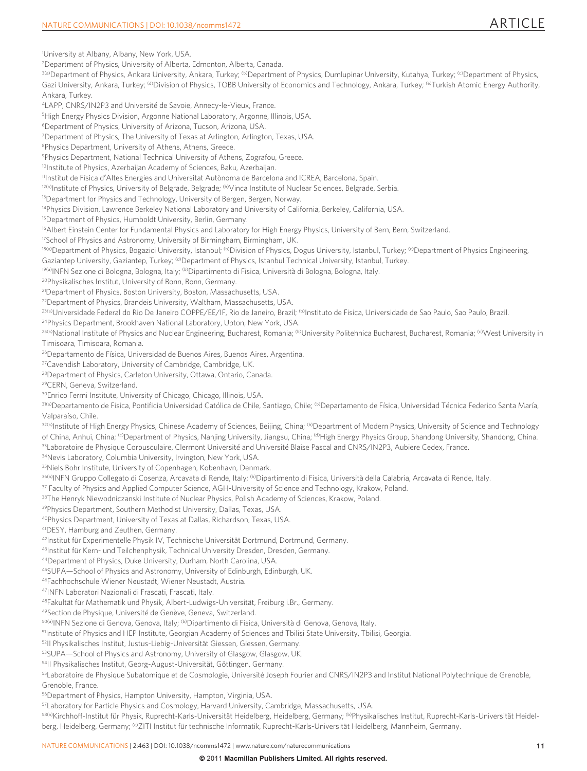1 University at Albany, Albany, New York, USA.

2 Department of Physics, University of Alberta, Edmonton, Alberta, Canada.

3(a)Department of Physics, Ankara University, Ankara, Turkey; <sup>(b)</sup>Department of Physics, Dumlupinar University, Kutahya, Turkey; <sup>(c)</sup>Department of Physics, Gazi University, Ankara, Turkey; (d)Division of Physics, TOBB University of Economics and Technology, Ankara, Turkey; <sup>(e)</sup>Turkish Atomic Energy Authority, Ankara, Turkey.

4LAPP, CNRS/IN2P3 and Université de Savoie, Annecy-le-Vieux, France.

5 High Energy Physics Division, Argonne National Laboratory, Argonne, Illinois, USA.

6Department of Physics, University of Arizona, Tucson, Arizona, USA.

7 Department of Physics, The University of Texas at Arlington, Arlington, Texas, USA.

8Physics Department, University of Athens, Athens, Greece.

9Physics Department, National Technical University of Athens, Zografou, Greece.

<sup>10</sup>Institute of Physics, Azerbaijan Academy of Sciences, Baku, Azerbaijan.

11Institut de Física d′Altes Energies and Universitat Autònoma de Barcelona and ICREA, Barcelona, Spain.

12(a)Institute of Physics, University of Belgrade, Belgrade; <sup>(b)</sup>Vinca Institute of Nuclear Sciences, Belgrade, Serbia.

<sup>13</sup>Department for Physics and Technology, University of Bergen, Bergen, Norway.

14Physics Division, Lawrence Berkeley National Laboratory and University of California, Berkeley, California, USA.

<sup>15</sup>Department of Physics, Humboldt University, Berlin, Germany.

<sup>16</sup>Albert Einstein Center for Fundamental Physics and Laboratory for High Energy Physics, University of Bern, Bern, Switzerland.

<sup>17</sup>School of Physics and Astronomy, University of Birmingham, Birmingham, UK.

18(a)Department of Physics, Bogazici University, Istanbul; <sup>(b)</sup>Division of Physics, Dogus University, Istanbul, Turkey; <sup>(c)</sup>Department of Physics Engineering, Gaziantep University, Gaziantep, Turkey; <sup>(d)</sup>Department of Physics, Istanbul Technical University, Istanbul, Turkey.

19(a)|NFN Sezione di Bologna, Bologna, Italy; <sup>(b)</sup>Dipartimento di Fisica, Università di Bologna, Bologna, Italy.

20Physikalisches Institut, University of Bonn, Bonn, Germany.

21Department of Physics, Boston University, Boston, Massachusetts, USA.

<sup>22</sup>Department of Physics, Brandeis University, Waltham, Massachusetts, USA.

23(a)Universidade Federal do Rio De Janeiro COPPE/EE/IF, Rio de Janeiro, Brazil; <sup>(b)</sup>Instituto de Fisica, Universidade de Sao Paulo, Sao Paulo, Brazil.

<sup>24</sup>Physics Department, Brookhaven National Laboratory, Upton, New York, USA.

25(a)National Institute of Physics and Nuclear Engineering, Bucharest, Romania; (b)University Politehnica Bucharest, Bucharest, Romania; (c)West University in Timisoara, Timisoara, Romania.

<sup>26</sup>Departamento de Física, Universidad de Buenos Aires, Buenos Aires, Argentina.

<sup>27</sup>Cavendish Laboratory, University of Cambridge, Cambridge, UK.

28Department of Physics, Carleton University, Ottawa, Ontario, Canada.

29CERN, Geneva, Switzerland.

30Enrico Fermi Institute, University of Chicago, Chicago, Illinois, USA.

31(a)Departamento de Fisica, Pontificia Universidad Católica de Chile, Santiago, Chile; <sup>(b)</sup>Departamento de Física, Universidad Técnica Federico Santa María, Valparaíso, Chile.

 $32(a)$ Institute of High Energy Physics, Chinese Academy of Sciences, Beijing, China; (b)Department of Modern Physics, University of Science and Technology of China, Anhui, China; <sup>(c)</sup>Department of Physics, Nanjing University, Jiangsu, China; <sup>(d)</sup>High Energy Physics Group, Shandong University, Shandong, China. 33Laboratoire de Physique Corpusculaire, Clermont Université and Université Blaise Pascal and CNRS/IN2P3, Aubiere Cedex, France.

34Nevis Laboratory, Columbia University, Irvington, New York, USA.

<sup>35</sup>Niels Bohr Institute, University of Copenhagen, Kobenhavn, Denmark.

36(a) INFN Gruppo Collegato di Cosenza, Arcavata di Rende, Italy; <sup>(b)</sup>Dipartimento di Fisica, Università della Calabria, Arcavata di Rende, Italy.

<sup>37</sup> Faculty of Physics and Applied Computer Science, AGH-University of Science and Technology, Krakow, Poland.

38The Henryk Niewodniczanski Institute of Nuclear Physics, Polish Academy of Sciences, Krakow, Poland.

39Physics Department, Southern Methodist University, Dallas, Texas, USA.

40Physics Department, University of Texas at Dallas, Richardson, Texas, USA.

41DESY, Hamburg and Zeuthen, Germany.

42Institut für Experimentelle Physik IV, Technische Universität Dortmund, Dortmund, Germany.

43Institut für Kern- und Teilchenphysik, Technical University Dresden, Dresden, Germany.

44Department of Physics, Duke University, Durham, North Carolina, USA.

45SUPA—School of Physics and Astronomy, University of Edinburgh, Edinburgh, UK.

46Fachhochschule Wiener Neustadt, Wiener Neustadt, Austria.

47INFN Laboratori Nazionali di Frascati, Frascati, Italy.

48Fakultät für Mathematik und Physik, Albert-Ludwigs-Universität, Freiburg i.Br., Germany.

49Section de Physique, Université de Genève, Geneva, Switzerland.

50(a)INFN Sezione di Genova, Genova, Italy; (b)Dipartimento di Fisica, Università di Genova, Genova, Italy.

51Institute of Physics and HEP Institute, Georgian Academy of Sciences and Tbilisi State University, Tbilisi, Georgia.

52II Physikalisches Institut, Justus-Liebig-Universität Giessen, Giessen, Germany.

53SUPA—School of Physics and Astronomy, University of Glasgow, Glasgow, UK.

54II Physikalisches Institut, Georg-August-Universität, Göttingen, Germany.

55Laboratoire de Physique Subatomique et de Cosmologie, Université Joseph Fourier and CNRS/IN2P3 and Institut National Polytechnique de Grenoble, Grenoble, France.

56Department of Physics, Hampton University, Hampton, Virginia, USA.

<sup>57</sup>Laboratory for Particle Physics and Cosmology, Harvard University, Cambridge, Massachusetts, USA.

58(a)Kirchhoff-Institut für Physik, Ruprecht-Karls-Universität Heidelberg, Heidelberg, Germany; (b)Physikalisches Institut, Ruprecht-Karls-Universität Heidelberg, Heidelberg, Germany; <sup>(c)</sup>ZITI Institut für technische Informatik, Ruprecht-Karls-Universität Heidelberg, Mannheim, Germany.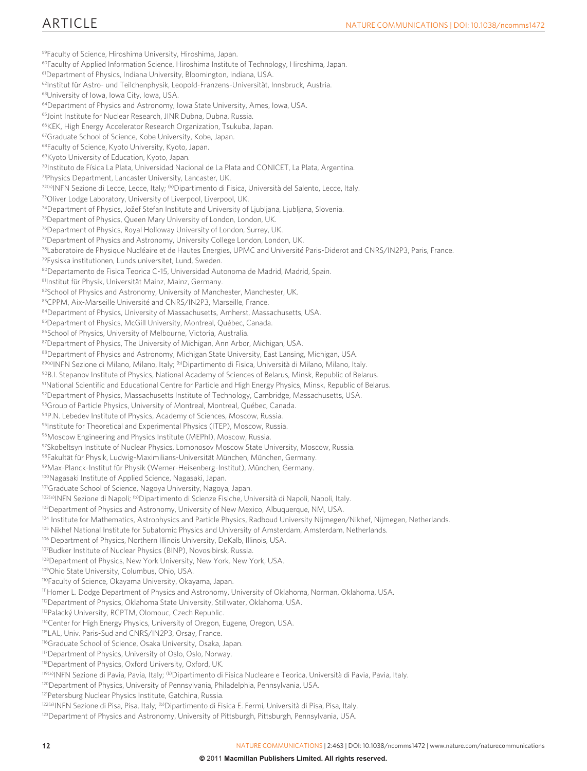59Faculty of Science, Hiroshima University, Hiroshima, Japan. <sup>60</sup>Faculty of Applied Information Science, Hiroshima Institute of Technology, Hiroshima, Japan. 61Department of Physics, Indiana University, Bloomington, Indiana, USA. 62Institut für Astro- und Teilchenphysik, Leopold-Franzens-Universität, Innsbruck, Austria. 63University of Iowa, Iowa City, Iowa, USA. 64Department of Physics and Astronomy, Iowa State University, Ames, Iowa, USA. 65Joint Institute for Nuclear Research, JINR Dubna, Dubna, Russia. 66KEK, High Energy Accelerator Research Organization, Tsukuba, Japan. 67Graduate School of Science, Kobe University, Kobe, Japan. 68Faculty of Science, Kyoto University, Kyoto, Japan. 69Kyoto University of Education, Kyoto, Japan. 70Instituto de Física La Plata, Universidad Nacional de La Plata and CONICET, La Plata, Argentina. 71Physics Department, Lancaster University, Lancaster, UK. 72(a)INFN Sezione di Lecce, Lecce, Italy; (b)Dipartimento di Fisica, Università del Salento, Lecce, Italy. 73Oliver Lodge Laboratory, University of Liverpool, Liverpool, UK. 74Department of Physics, Jožef Stefan Institute and University of Ljubljana, Ljubljana, Slovenia. <sup>75</sup>Department of Physics, Queen Mary University of London, London, UK. <sup>76</sup>Department of Physics, Royal Holloway University of London, Surrey, UK. <sup>77</sup>Department of Physics and Astronomy, University College London, London, UK. <sup>78</sup>Laboratoire de Physique Nucléaire et de Hautes Energies, UPMC and Université Paris-Diderot and CNRS/IN2P3, Paris, France. 79Fysiska institutionen, Lunds universitet, Lund, Sweden. 80Departamento de Fisica Teorica C-15, Universidad Autonoma de Madrid, Madrid, Spain. 81Institut für Physik, Universität Mainz, Mainz, Germany. 82School of Physics and Astronomy, University of Manchester, Manchester, UK. 83CPPM, Aix-Marseille Université and CNRS/IN2P3, Marseille, France. 84Department of Physics, University of Massachusetts, Amherst, Massachusetts, USA. 85 Department of Physics, McGill University, Montreal, Québec, Canada. 86School of Physics, University of Melbourne, Victoria, Australia. 87 Department of Physics, The University of Michigan, Ann Arbor, Michigan, USA. 88 Department of Physics and Astronomy, Michigan State University, East Lansing, Michigan, USA. 89(a)INFN Sezione di Milano, Milano, Italy; (b)Dipartimento di Fisica, Università di Milano, Milano, Italy. 90B.I. Stepanov Institute of Physics, National Academy of Sciences of Belarus, Minsk, Republic of Belarus. 91National Scientific and Educational Centre for Particle and High Energy Physics, Minsk, Republic of Belarus. 92 Department of Physics, Massachusetts Institute of Technology, Cambridge, Massachusetts, USA. 93Group of Particle Physics, University of Montreal, Montreal, Québec, Canada. 94P.N. Lebedev Institute of Physics, Academy of Sciences, Moscow, Russia. 95Institute for Theoretical and Experimental Physics (ITEP), Moscow, Russia. 96Moscow Engineering and Physics Institute (MEPhI), Moscow, Russia. 97Skobeltsyn Institute of Nuclear Physics, Lomonosov Moscow State University, Moscow, Russia. 98Fakultät für Physik, Ludwig-Maximilians-Universität München, München, Germany. 99Max-Planck-Institut für Physik (Werner-Heisenberg-Institut), München, Germany. 100Nagasaki Institute of Applied Science, Nagasaki, Japan. 101Graduate School of Science, Nagoya University, Nagoya, Japan. 102(a)|NFN Sezione di Napoli; <sup>(b)</sup>Dipartimento di Scienze Fisiche, Università di Napoli, Napoli, Italy. <sup>103</sup>Department of Physics and Astronomy, University of New Mexico, Albuquerque, NM, USA. 104 Institute for Mathematics, Astrophysics and Particle Physics, Radboud University Nijmegen/Nikhef, Nijmegen, Netherlands. <sup>105</sup> Nikhef National Institute for Subatomic Physics and University of Amsterdam, Amsterdam, Netherlands. 106 Department of Physics, Northern Illinois University, DeKalb, Illinois, USA. 107Budker Institute of Nuclear Physics (BINP), Novosibirsk, Russia. 108Department of Physics, New York University, New York, New York, USA. 109Ohio State University, Columbus, Ohio, USA. 110Faculty of Science, Okayama University, Okayama, Japan. 111Homer L. Dodge Department of Physics and Astronomy, University of Oklahoma, Norman, Oklahoma, USA. 112 Department of Physics, Oklahoma State University, Stillwater, Oklahoma, USA. 113Palacký University, RCPTM, Olomouc, Czech Republic. 114 Center for High Energy Physics, University of Oregon, Eugene, Oregon, USA. 115LAL, Univ. Paris-Sud and CNRS/IN2P3, Orsay, France. 116Graduate School of Science, Osaka University, Osaka, Japan. 117 Department of Physics, University of Oslo, Oslo, Norway. 118Department of Physics, Oxford University, Oxford, UK. 119(a) INFN Sezione di Pavia, Pavia, Italy; (b)Dipartimento di Fisica Nucleare e Teorica, Università di Pavia, Pavia, Italy. <sup>120</sup>Department of Physics, University of Pennsylvania, Philadelphia, Pennsylvania, USA. <sup>121</sup>Petersburg Nuclear Physics Institute, Gatchina, Russia. 122(a)|NFN Sezione di Pisa, Pisa, Italy; <sup>(b)</sup>Dipartimento di Fisica E. Fermi, Università di Pisa, Pisa, Italy. 123 Department of Physics and Astronomy, University of Pittsburgh, Pittsburgh, Pennsylvania, USA.

nature communications | 2:463 | DOI: 10.1038/ncomms1472 | www.nature.com/naturecommunications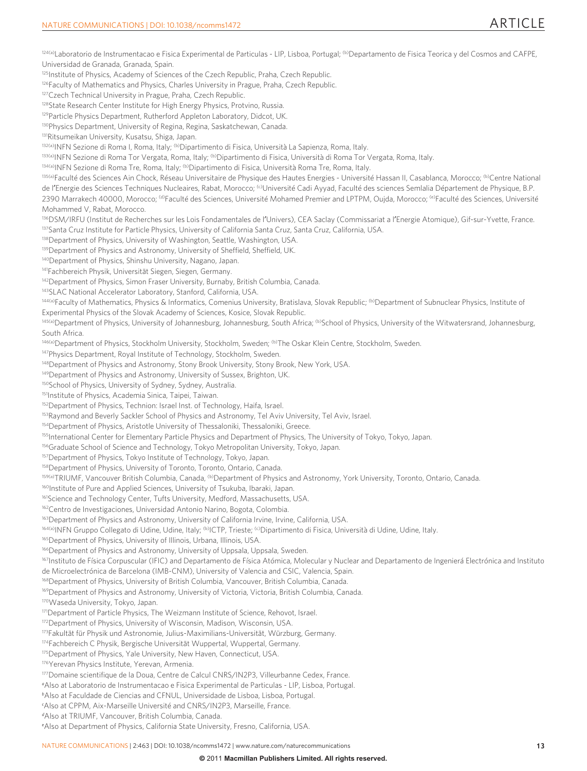124(a)Laboratorio de Instrumentacao e Fisica Experimental de Particulas - LIP, Lisboa, Portugal; (b)Departamento de Fisica Teorica y del Cosmos and CAFPE, Universidad de Granada, Granada, Spain.

<sup>125</sup>Institute of Physics, Academy of Sciences of the Czech Republic, Praha, Czech Republic.

<sup>126</sup>Faculty of Mathematics and Physics, Charles University in Prague, Praha, Czech Republic.

<sup>127</sup>Czech Technical University in Prague, Praha, Czech Republic.

<sup>128</sup>State Research Center Institute for High Energy Physics, Protvino, Russia.

<sup>129</sup>Particle Physics Department, Rutherford Appleton Laboratory, Didcot, UK.

130 Physics Department, University of Regina, Regina, Saskatchewan, Canada.

131Ritsumeikan University, Kusatsu, Shiga, Japan.

132(a)|NFN Sezione di Roma I, Roma, Italy; <sup>(b)</sup>Dipartimento di Fisica, Università La Sapienza, Roma, Italy.

133(a)|NFN Sezione di Roma Tor Vergata, Roma, Italy; <sup>(b)</sup>Dipartimento di Fisica, Università di Roma Tor Vergata, Roma, Italy.

134(a)|NFN Sezione di Roma Tre, Roma, Italy; (b)Dipartimento di Fisica, Università Roma Tre, Roma, Italy.

135(a)Faculté des Sciences Ain Chock, Réseau Universitaire de Physique des Hautes Energies - Université Hassan II, Casablanca, Morocco; <sup>(b)</sup>Centre National de l'Energie des Sciences Techniques Nucleaires, Rabat, Morocco; <sup>(c)</sup>Université Cadi Ayyad, Faculté des sciences Semlalia Département de Physique, B.P.

2390 Marrakech 40000, Morocco; <sup>(a)</sup>Faculté des Sciences, Université Mohamed Premier and LPTPM, Oujda, Morocco; <sup>(e)</sup>Faculté des Sciences, Université Mohammed V, Rabat, Morocco.

136DSM/IRFU (Institut de Recherches sur les Lois Fondamentales de l'Univers), CEA Saclay (Commissariat a l'Energie Atomique), Gif-sur-Yvette, France. 137 Santa Cruz Institute for Particle Physics, University of California Santa Cruz, Santa Cruz, California, USA.

138 Department of Physics, University of Washington, Seattle, Washington, USA.

139 Department of Physics and Astronomy, University of Sheffield, Sheffield, UK.

140Department of Physics, Shinshu University, Nagano, Japan.

141Fachbereich Physik, Universität Siegen, Siegen, Germany.

<sup>142</sup>Department of Physics, Simon Fraser University, Burnaby, British Columbia, Canada.

143SLAC National Accelerator Laboratory, Stanford, California, USA.

144(a)Faculty of Mathematics, Physics & Informatics, Comenius University, Bratislava, Slovak Republic; (b)Department of Subnuclear Physics, Institute of Experimental Physics of the Slovak Academy of Sciences, Kosice, Slovak Republic.

145(a)Department of Physics, University of Johannesburg, Johannesburg, South Africa; <sup>(b)</sup>School of Physics, University of the Witwatersrand, Johannesburg, South Africa.

146(a)Department of Physics, Stockholm University, Stockholm, Sweden; <sup>(b)</sup>The Oskar Klein Centre, Stockholm, Sweden.

<sup>147</sup>Physics Department, Royal Institute of Technology, Stockholm, Sweden.

148 Department of Physics and Astronomy, Stony Brook University, Stony Brook, New York, USA.

149 Department of Physics and Astronomy, University of Sussex, Brighton, UK.

150School of Physics, University of Sydney, Sydney, Australia.

151 Institute of Physics, Academia Sinica, Taipei, Taiwan.

<sup>152</sup>Department of Physics, Technion: Israel Inst. of Technology, Haifa, Israel.

153Raymond and Beverly Sackler School of Physics and Astronomy, Tel Aviv University, Tel Aviv, Israel.

154Department of Physics, Aristotle University of Thessaloniki, Thessaloniki, Greece.

155International Center for Elementary Particle Physics and Department of Physics, The University of Tokyo, Tokyo, Japan.

156Graduate School of Science and Technology, Tokyo Metropolitan University, Tokyo, Japan.

157Department of Physics, Tokyo Institute of Technology, Tokyo, Japan.

<sup>158</sup>Department of Physics, University of Toronto, Toronto, Ontario, Canada.

159(a)TRIUMF, Vancouver British Columbia, Canada, <sup>(b)</sup>Department of Physics and Astronomy, York University, Toronto, Ontario, Canada.

<sup>160</sup>Institute of Pure and Applied Sciences, University of Tsukuba, Ibaraki, Japan.

161Science and Technology Center, Tufts University, Medford, Massachusetts, USA.

162Centro de Investigaciones, Universidad Antonio Narino, Bogota, Colombia.

163Department of Physics and Astronomy, University of California Irvine, Irvine, California, USA.

164(a)INFN Gruppo Collegato di Udine, Udine, Italy; <sup>(b)</sup>ICTP, Trieste; <sup>(c)</sup>Dipartimento di Fisica, Università di Udine, Udine, Italy.

165Department of Physics, University of Illinois, Urbana, Illinois, USA.

166Department of Physics and Astronomy, University of Uppsala, Uppsala, Sweden.

<sup>167</sup>Instituto de Física Corpuscular (IFIC) and Departamento de Física Atómica, Molecular y Nuclear and Departamento de Ingenierá Electrónica and Instituto

de Microelectrónica de Barcelona (IMB-CNM), University of Valencia and CSIC, Valencia, Spain.

168 Department of Physics, University of British Columbia, Vancouver, British Columbia, Canada.

169 Department of Physics and Astronomy, University of Victoria, Victoria, British Columbia, Canada.

170Waseda University, Tokyo, Japan.

171Department of Particle Physics, The Weizmann Institute of Science, Rehovot, Israel.

172 Department of Physics, University of Wisconsin, Madison, Wisconsin, USA.

173Fakultät für Physik und Astronomie, Julius-Maximilians-Universität, Würzburg, Germany.

174Fachbereich C Physik, Bergische Universität Wuppertal, Wuppertal, Germany.

175 Department of Physics, Yale University, New Haven, Connecticut, USA.

176Yerevan Physics Institute, Yerevan, Armenia.

177 Domaine scientifique de la Doua, Centre de Calcul CNRS/IN2P3, Villeurbanne Cedex, France.

*a* Also at Laboratorio de Instrumentacao e Fisica Experimental de Particulas - LIP, Lisboa, Portugal.

*b* Also at Faculdade de Ciencias and CFNUL, Universidade de Lisboa, Lisboa, Portugal.

*c* Also at CPPM, Aix-Marseille Université and CNRS/IN2P3, Marseille, France.

*d* Also at TRIUMF, Vancouver, British Columbia, Canada.

*e* Also at Department of Physics, California State University, Fresno, California, USA.